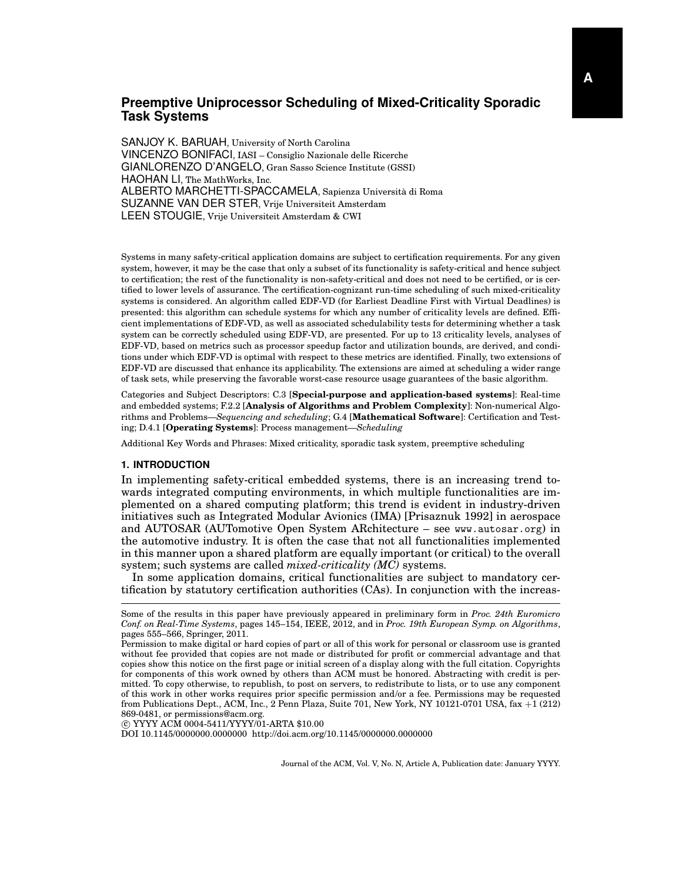# **Preemptive Uniprocessor Scheduling of Mixed-Criticality Sporadic Task Systems**

SANJOY K. BARUAH, University of North Carolina VINCENZO BONIFACI, IASI – Consiglio Nazionale delle Ricerche GIANLORENZO D'ANGELO, Gran Sasso Science Institute (GSSI) HAOHAN LI, The MathWorks, Inc. ALBERTO MARCHETTI-SPACCAMELA, Sapienza Universita di Roma ` SUZANNE VAN DER STER, Vrije Universiteit Amsterdam LEEN STOUGIE, Vrije Universiteit Amsterdam & CWI

Systems in many safety-critical application domains are subject to certification requirements. For any given system, however, it may be the case that only a subset of its functionality is safety-critical and hence subject to certification; the rest of the functionality is non-safety-critical and does not need to be certified, or is certified to lower levels of assurance. The certification-cognizant run-time scheduling of such mixed-criticality systems is considered. An algorithm called EDF-VD (for Earliest Deadline First with Virtual Deadlines) is presented: this algorithm can schedule systems for which any number of criticality levels are defined. Efficient implementations of EDF-VD, as well as associated schedulability tests for determining whether a task system can be correctly scheduled using EDF-VD, are presented. For up to 13 criticality levels, analyses of EDF-VD, based on metrics such as processor speedup factor and utilization bounds, are derived, and conditions under which EDF-VD is optimal with respect to these metrics are identified. Finally, two extensions of EDF-VD are discussed that enhance its applicability. The extensions are aimed at scheduling a wider range of task sets, while preserving the favorable worst-case resource usage guarantees of the basic algorithm.

Categories and Subject Descriptors: C.3 [**Special-purpose and application-based systems**]: Real-time and embedded systems; F.2.2 [**Analysis of Algorithms and Problem Complexity**]: Non-numerical Algorithms and Problems—*Sequencing and scheduling*; G.4 [**Mathematical Software**]: Certification and Testing; D.4.1 [**Operating Systems**]: Process management—*Scheduling*

Additional Key Words and Phrases: Mixed criticality, sporadic task system, preemptive scheduling

## **1. INTRODUCTION**

In implementing safety-critical embedded systems, there is an increasing trend towards integrated computing environments, in which multiple functionalities are implemented on a shared computing platform; this trend is evident in industry-driven initiatives such as Integrated Modular Avionics (IMA) [Prisaznuk 1992] in aerospace and AUTOSAR (AUTomotive Open System ARchitecture – see www.autosar.org) in the automotive industry. It is often the case that not all functionalities implemented in this manner upon a shared platform are equally important (or critical) to the overall system; such systems are called *mixed-criticality (MC)* systems.

In some application domains, critical functionalities are subject to mandatory certification by statutory certification authorities (CAs). In conjunction with the increas-

c YYYY ACM 0004-5411/YYYY/01-ARTA \$10.00

DOI 10.1145/0000000.0000000 http://doi.acm.org/10.1145/0000000.0000000

Some of the results in this paper have previously appeared in preliminary form in *Proc. 24th Euromicro Conf. on Real-Time Systems*, pages 145–154, IEEE, 2012, and in *Proc. 19th European Symp. on Algorithms*, pages 555–566, Springer, 2011.

Permission to make digital or hard copies of part or all of this work for personal or classroom use is granted without fee provided that copies are not made or distributed for profit or commercial advantage and that copies show this notice on the first page or initial screen of a display along with the full citation. Copyrights for components of this work owned by others than ACM must be honored. Abstracting with credit is permitted. To copy otherwise, to republish, to post on servers, to redistribute to lists, or to use any component of this work in other works requires prior specific permission and/or a fee. Permissions may be requested from Publications Dept., ACM, Inc., 2 Penn Plaza, Suite 701, New York, NY 10121-0701 USA, fax +1 (212) 869-0481, or permissions@acm.org.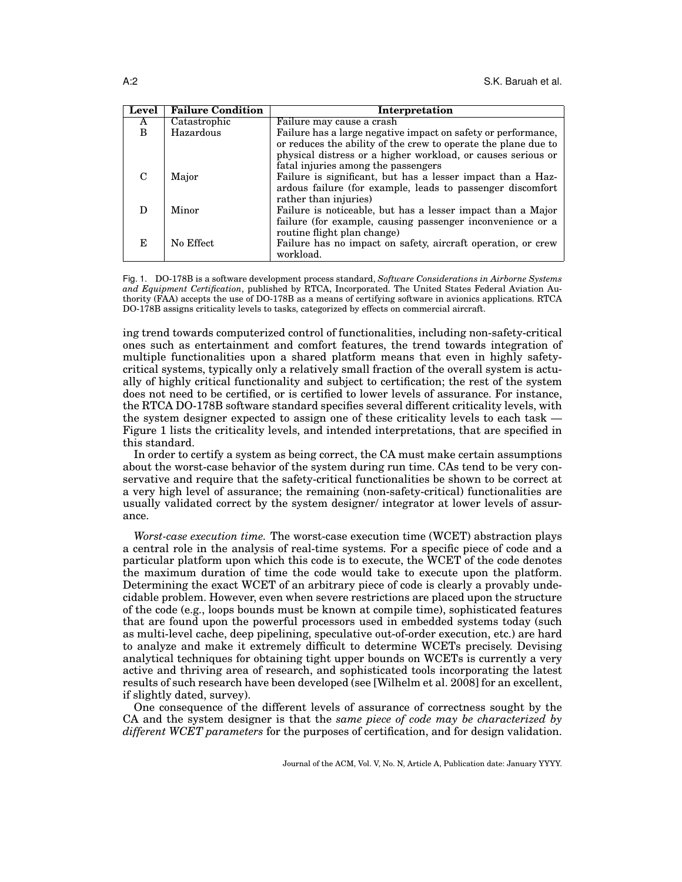| Level | <b>Failure Condition</b> | <b>Interpretation</b>                                                                                                                                                                                                                  |
|-------|--------------------------|----------------------------------------------------------------------------------------------------------------------------------------------------------------------------------------------------------------------------------------|
| A     | Catastrophic             | Failure may cause a crash                                                                                                                                                                                                              |
| B     | Hazardous                | Failure has a large negative impact on safety or performance,<br>or reduces the ability of the crew to operate the plane due to<br>physical distress or a higher workload, or causes serious or<br>fatal injuries among the passengers |
| C     | Major                    | Failure is significant, but has a lesser impact than a Haz-<br>ardous failure (for example, leads to passenger discomfort<br>rather than injuries)                                                                                     |
|       | Minor                    | Failure is noticeable, but has a lesser impact than a Major<br>failure (for example, causing passenger inconvenience or a<br>routine flight plan change)                                                                               |
| E.    | No Effect                | Failure has no impact on safety, aircraft operation, or crew<br>workload.                                                                                                                                                              |

Fig. 1. DO-178B is a software development process standard, *Software Considerations in Airborne Systems and Equipment Certification*, published by RTCA, Incorporated. The United States Federal Aviation Authority (FAA) accepts the use of DO-178B as a means of certifying software in avionics applications. RTCA DO-178B assigns criticality levels to tasks, categorized by effects on commercial aircraft.

ing trend towards computerized control of functionalities, including non-safety-critical ones such as entertainment and comfort features, the trend towards integration of multiple functionalities upon a shared platform means that even in highly safetycritical systems, typically only a relatively small fraction of the overall system is actually of highly critical functionality and subject to certification; the rest of the system does not need to be certified, or is certified to lower levels of assurance. For instance, the RTCA DO-178B software standard specifies several different criticality levels, with the system designer expected to assign one of these criticality levels to each task — Figure 1 lists the criticality levels, and intended interpretations, that are specified in this standard.

In order to certify a system as being correct, the CA must make certain assumptions about the worst-case behavior of the system during run time. CAs tend to be very conservative and require that the safety-critical functionalities be shown to be correct at a very high level of assurance; the remaining (non-safety-critical) functionalities are usually validated correct by the system designer/ integrator at lower levels of assurance.

*Worst-case execution time.* The worst-case execution time (WCET) abstraction plays a central role in the analysis of real-time systems. For a specific piece of code and a particular platform upon which this code is to execute, the WCET of the code denotes the maximum duration of time the code would take to execute upon the platform. Determining the exact WCET of an arbitrary piece of code is clearly a provably undecidable problem. However, even when severe restrictions are placed upon the structure of the code (e.g., loops bounds must be known at compile time), sophisticated features that are found upon the powerful processors used in embedded systems today (such as multi-level cache, deep pipelining, speculative out-of-order execution, etc.) are hard to analyze and make it extremely difficult to determine WCETs precisely. Devising analytical techniques for obtaining tight upper bounds on WCETs is currently a very active and thriving area of research, and sophisticated tools incorporating the latest results of such research have been developed (see [Wilhelm et al. 2008] for an excellent, if slightly dated, survey).

One consequence of the different levels of assurance of correctness sought by the CA and the system designer is that the *same piece of code may be characterized by different WCET parameters* for the purposes of certification, and for design validation.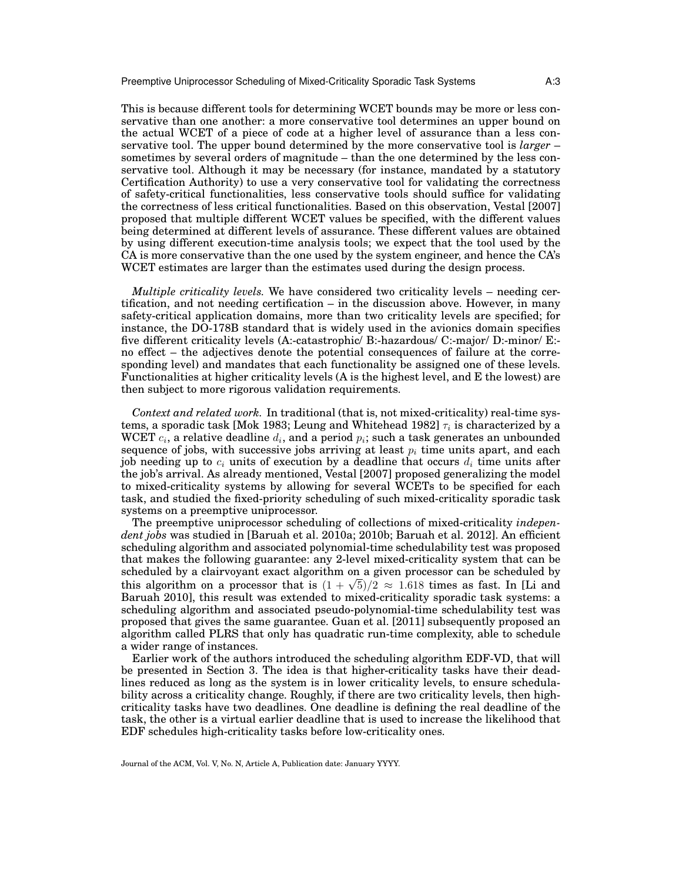This is because different tools for determining WCET bounds may be more or less conservative than one another: a more conservative tool determines an upper bound on the actual WCET of a piece of code at a higher level of assurance than a less conservative tool. The upper bound determined by the more conservative tool is *larger* – sometimes by several orders of magnitude – than the one determined by the less conservative tool. Although it may be necessary (for instance, mandated by a statutory Certification Authority) to use a very conservative tool for validating the correctness of safety-critical functionalities, less conservative tools should suffice for validating the correctness of less critical functionalities. Based on this observation, Vestal [2007] proposed that multiple different WCET values be specified, with the different values being determined at different levels of assurance. These different values are obtained by using different execution-time analysis tools; we expect that the tool used by the CA is more conservative than the one used by the system engineer, and hence the CA's WCET estimates are larger than the estimates used during the design process.

*Multiple criticality levels.* We have considered two criticality levels – needing certification, and not needing certification – in the discussion above. However, in many safety-critical application domains, more than two criticality levels are specified; for instance, the DO-178B standard that is widely used in the avionics domain specifies five different criticality levels (A:-catastrophic/ B:-hazardous/ C:-major/ D:-minor/ E: no effect – the adjectives denote the potential consequences of failure at the corresponding level) and mandates that each functionality be assigned one of these levels. Functionalities at higher criticality levels (A is the highest level, and E the lowest) are then subject to more rigorous validation requirements.

*Context and related work.* In traditional (that is, not mixed-criticality) real-time systems, a sporadic task [Mok 1983; Leung and Whitehead 1982]  $\tau_i$  is characterized by a  $\operatorname{WCET} c_i$ , a relative deadline  $d_i$ , and a period  $p_i;$  such a task generates an unbounded sequence of jobs, with successive jobs arriving at least  $p_i$  time units apart, and each job needing up to  $c_i$  units of execution by a deadline that occurs  $d_i$  time units after the job's arrival. As already mentioned, Vestal [2007] proposed generalizing the model to mixed-criticality systems by allowing for several WCETs to be specified for each task, and studied the fixed-priority scheduling of such mixed-criticality sporadic task systems on a preemptive uniprocessor.

The preemptive uniprocessor scheduling of collections of mixed-criticality *independent jobs* was studied in [Baruah et al. 2010a; 2010b; Baruah et al. 2012]. An efficient scheduling algorithm and associated polynomial-time schedulability test was proposed that makes the following guarantee: any 2-level mixed-criticality system that can be scheduled by a clairvoyant exact algorithm on a given processor can be scheduled by scheduled by a clairvoyant exact algorithm on a given processor can be scheduled by this algorithm on a processor that is  $(1 + \sqrt{5})/2 \approx 1.618$  times as fast. In [Li and Baruah 2010], this result was extended to mixed-criticality sporadic task systems: a scheduling algorithm and associated pseudo-polynomial-time schedulability test was proposed that gives the same guarantee. Guan et al. [2011] subsequently proposed an algorithm called PLRS that only has quadratic run-time complexity, able to schedule a wider range of instances.

Earlier work of the authors introduced the scheduling algorithm EDF-VD, that will be presented in Section 3. The idea is that higher-criticality tasks have their deadlines reduced as long as the system is in lower criticality levels, to ensure schedulability across a criticality change. Roughly, if there are two criticality levels, then highcriticality tasks have two deadlines. One deadline is defining the real deadline of the task, the other is a virtual earlier deadline that is used to increase the likelihood that EDF schedules high-criticality tasks before low-criticality ones.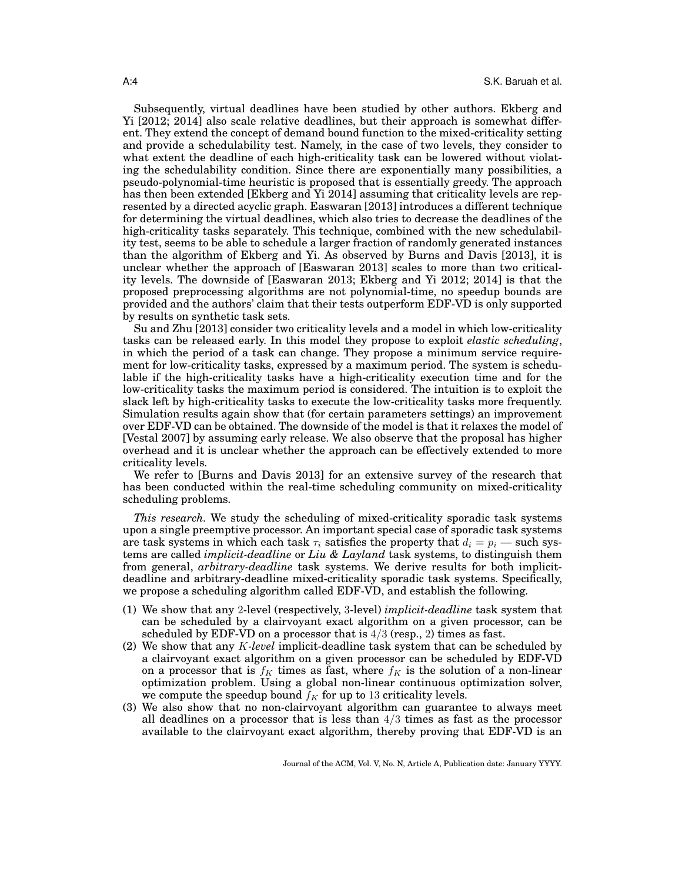Subsequently, virtual deadlines have been studied by other authors. Ekberg and Yi [2012; 2014] also scale relative deadlines, but their approach is somewhat different. They extend the concept of demand bound function to the mixed-criticality setting and provide a schedulability test. Namely, in the case of two levels, they consider to what extent the deadline of each high-criticality task can be lowered without violating the schedulability condition. Since there are exponentially many possibilities, a pseudo-polynomial-time heuristic is proposed that is essentially greedy. The approach has then been extended [Ekberg and Yi 2014] assuming that criticality levels are represented by a directed acyclic graph. Easwaran [2013] introduces a different technique for determining the virtual deadlines, which also tries to decrease the deadlines of the high-criticality tasks separately. This technique, combined with the new schedulability test, seems to be able to schedule a larger fraction of randomly generated instances than the algorithm of Ekberg and Yi. As observed by Burns and Davis [2013], it is unclear whether the approach of [Easwaran 2013] scales to more than two criticality levels. The downside of [Easwaran 2013; Ekberg and Yi 2012; 2014] is that the proposed preprocessing algorithms are not polynomial-time, no speedup bounds are provided and the authors' claim that their tests outperform EDF-VD is only supported by results on synthetic task sets.

Su and Zhu [2013] consider two criticality levels and a model in which low-criticality tasks can be released early. In this model they propose to exploit *elastic scheduling*, in which the period of a task can change. They propose a minimum service requirement for low-criticality tasks, expressed by a maximum period. The system is schedulable if the high-criticality tasks have a high-criticality execution time and for the low-criticality tasks the maximum period is considered. The intuition is to exploit the slack left by high-criticality tasks to execute the low-criticality tasks more frequently. Simulation results again show that (for certain parameters settings) an improvement over EDF-VD can be obtained. The downside of the model is that it relaxes the model of [Vestal 2007] by assuming early release. We also observe that the proposal has higher overhead and it is unclear whether the approach can be effectively extended to more criticality levels.

We refer to [Burns and Davis 2013] for an extensive survey of the research that has been conducted within the real-time scheduling community on mixed-criticality scheduling problems.

*This research.* We study the scheduling of mixed-criticality sporadic task systems upon a single preemptive processor. An important special case of sporadic task systems are task systems in which each task  $\tau_i$  satisfies the property that  $d_i = p_i$  — such systems are called *implicit-deadline* or *Liu & Layland* task systems, to distinguish them from general, *arbitrary-deadline* task systems. We derive results for both implicitdeadline and arbitrary-deadline mixed-criticality sporadic task systems. Specifically, we propose a scheduling algorithm called EDF-VD, and establish the following.

- (1) We show that any 2-level (respectively, 3-level) *implicit-deadline* task system that can be scheduled by a clairvoyant exact algorithm on a given processor, can be scheduled by EDF-VD on a processor that is  $4/3$  (resp., 2) times as fast.
- (2) We show that any K*-level* implicit-deadline task system that can be scheduled by a clairvoyant exact algorithm on a given processor can be scheduled by EDF-VD on a processor that is  $f_K$  times as fast, where  $f_K$  is the solution of a non-linear optimization problem. Using a global non-linear continuous optimization solver, we compute the speedup bound  $f_K$  for up to 13 criticality levels.
- (3) We also show that no non-clairvoyant algorithm can guarantee to always meet all deadlines on a processor that is less than  $4/3$  times as fast as the processor available to the clairvoyant exact algorithm, thereby proving that EDF-VD is an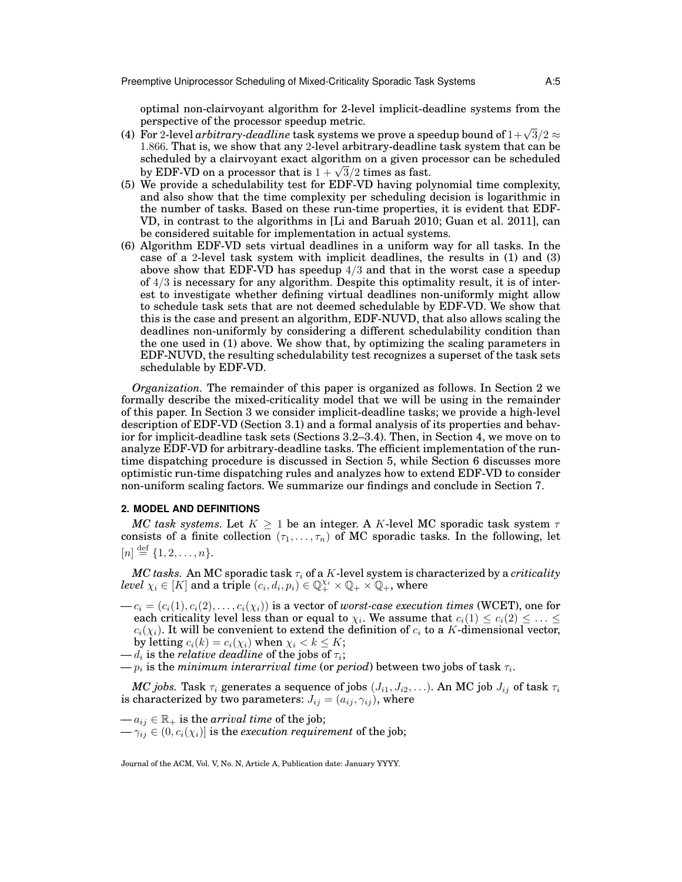optimal non-clairvoyant algorithm for 2-level implicit-deadline systems from the perspective of the processor speedup metric.

- perspective of the processor speedup metric.<br>(4) For 2-level *arbitrary-deadline* task systems we prove a speedup bound of  $1+\sqrt{3}/2$  ≈ 1.866. That is, we show that any 2-level arbitrary-deadline task system that can be scheduled by a clairvoyant exact algorithm on a given processor can be scheduled scheduled by a clairvoyant exact algorithm on a given pr<br>by EDF-VD on a processor that is  $1+\sqrt{3}/2$  times as fast.
- (5) We provide a schedulability test for EDF-VD having polynomial time complexity, and also show that the time complexity per scheduling decision is logarithmic in the number of tasks. Based on these run-time properties, it is evident that EDF-VD, in contrast to the algorithms in [Li and Baruah 2010; Guan et al. 2011], can be considered suitable for implementation in actual systems.
- (6) Algorithm EDF-VD sets virtual deadlines in a uniform way for all tasks. In the case of a 2-level task system with implicit deadlines, the results in (1) and (3) above show that EDF-VD has speedup  $4/3$  and that in the worst case a speedup of  $4/3$  is necessary for any algorithm. Despite this optimality result, it is of interest to investigate whether defining virtual deadlines non-uniformly might allow to schedule task sets that are not deemed schedulable by EDF-VD. We show that this is the case and present an algorithm, EDF-NUVD, that also allows scaling the deadlines non-uniformly by considering a different schedulability condition than the one used in (1) above. We show that, by optimizing the scaling parameters in EDF-NUVD, the resulting schedulability test recognizes a superset of the task sets schedulable by EDF-VD.

*Organization.* The remainder of this paper is organized as follows. In Section 2 we formally describe the mixed-criticality model that we will be using in the remainder of this paper. In Section 3 we consider implicit-deadline tasks; we provide a high-level description of EDF-VD (Section 3.1) and a formal analysis of its properties and behavior for implicit-deadline task sets (Sections 3.2–3.4). Then, in Section 4, we move on to analyze EDF-VD for arbitrary-deadline tasks. The efficient implementation of the runtime dispatching procedure is discussed in Section 5, while Section 6 discusses more optimistic run-time dispatching rules and analyzes how to extend EDF-VD to consider non-uniform scaling factors. We summarize our findings and conclude in Section 7.

## **2. MODEL AND DEFINITIONS**

*MC task systems.* Let  $K \geq 1$  be an integer. A K-level MC sporadic task system  $\tau$ consists of a finite collection  $(\tau_1, \ldots, \tau_n)$  of MC sporadic tasks. In the following, let  $[n] \stackrel{\text{def}}{=} \{1, 2, \ldots, n\}.$ 

 $MC$  tasks. An MC sporadic task  $\tau_i$  of a K-level system is characterized by a *criticality level*  $\chi_i \in [K]$  and a triple  $(c_i, d_i, p_i) \in \mathbb{Q}_+^{\chi_i} \times \mathbb{Q}_+ \times \mathbb{Q}_+$ , where

 $-c_i = (c_i(1), c_i(2), \ldots, c_i(\chi_i))$  is a vector of *worst-case execution times* (WCET), one for each criticality level less than or equal to  $\chi_i.$  We assume that  $c_i(1) \leq c_i(2) \leq \ldots \leq$  $c_i(\chi_i)$ . It will be convenient to extend the definition of  $c_i$  to a K-dimensional vector, by letting  $c_i(k) = c_i(\chi_i)$  when  $\chi_i < k \leq K$ ;

 $-p_i$  is the  $minimum$   $interarrival$   $time$  (or  $period$ ) between two jobs of  $\text{task } \tau_i.$ 

*MC jobs.* Task  $\tau_i$  generates a sequence of jobs  $(J_{i1}, J_{i2}, \ldots)$ . An MC job  $J_{ij}$  of task  $\tau_i$ is characterized by two parameters:  $J_{ij} = (a_{ij}, \gamma_{ij})$ , where

 $-a_{ij} \in \mathbb{R}_+$  is the *arrival time* of the job;  $-\gamma_{ij} \in (0, c_i(\chi_i)]$  is the *execution requirement* of the job;

 $-d_i$  is the *relative deadline* of the jobs of  $\tau_i;$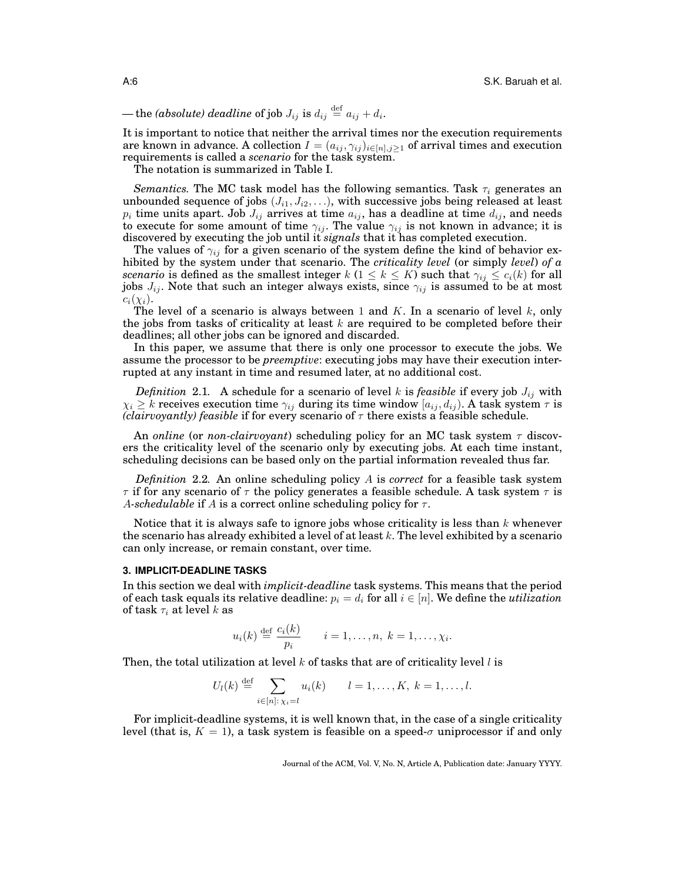$-$  the *(absolute) deadline* of job  $J_{ij}$  is  $d_{ij} \stackrel{\text{def}}{=} a_{ij} + d_i.$ 

It is important to notice that neither the arrival times nor the execution requirements are known in advance. A collection  $I = (a_{ij}, \gamma_{ij})_{i \in [n], j \ge 1}$  of arrival times and execution requirements is called a *scenario* for the task system.

The notation is summarized in Table I.

*Semantics.* The MC task model has the following semantics. Task  $\tau_i$  generates an unbounded sequence of jobs  $(J_{i1}, J_{i2}, \ldots)$ , with successive jobs being released at least  $p_i$  time units apart. Job  $J_{ij}$  arrives at time  $a_{ij}$ , has a deadline at time  $d_{ij}$ , and needs to execute for some amount of time  $\gamma_{ij}$ . The value  $\gamma_{ij}$  is not known in advance; it is discovered by executing the job until it *signals* that it has completed execution.

The values of  $\gamma_{ij}$  for a given scenario of the system define the kind of behavior exhibited by the system under that scenario. The *criticality level* (or simply *level*) *of a scenario* is defined as the smallest integer  $k$  ( $1 \leq k \leq K$ ) such that  $\gamma_{ij} \leq c_i(k)$  for all jobs  $J_{ij}$ . Note that such an integer always exists, since  $\gamma_{ij}$  is assumed to be at most  $c_i(\chi_i)$ .

The level of a scenario is always between 1 and  $K$ . In a scenario of level  $k$ , only the jobs from tasks of criticality at least  $k$  are required to be completed before their deadlines; all other jobs can be ignored and discarded.

In this paper, we assume that there is only one processor to execute the jobs. We assume the processor to be *preemptive*: executing jobs may have their execution interrupted at any instant in time and resumed later, at no additional cost.

*Definition* 2.1. A schedule for a scenario of level k is *feasible* if every job  $J_{ij}$  with  $\chi_i \geq k$  receives execution time  $\gamma_{ij}$  during its time window  $[a_{ij}, d_{ij})$ . A task system  $\tau$  is *(clairvoyantly) feasible* if for every scenario of  $\tau$  there exists a feasible schedule.

An *online* (or *non-clairvoyant*) scheduling policy for an MC task system τ discovers the criticality level of the scenario only by executing jobs. At each time instant, scheduling decisions can be based only on the partial information revealed thus far.

*Definition* 2.2*.* An online scheduling policy A is *correct* for a feasible task system  $\tau$  if for any scenario of  $\tau$  the policy generates a feasible schedule. A task system  $\tau$  is A-schedulable if A is a correct online scheduling policy for  $\tau$ .

Notice that it is always safe to ignore jobs whose criticality is less than  $k$  whenever the scenario has already exhibited a level of at least  $k$ . The level exhibited by a scenario can only increase, or remain constant, over time.

## **3. IMPLICIT-DEADLINE TASKS**

In this section we deal with *implicit-deadline* task systems. This means that the period of each task equals its relative deadline:  $p_i = d_i$  for all  $i \in [n]$ . We define the *utilization* of task  $\tau_i$  at level k as

$$
u_i(k) \stackrel{\text{def}}{=} \frac{c_i(k)}{p_i} \qquad i = 1, \dots, n, \ k = 1, \dots, \chi_i.
$$

Then, the total utilization at level k of tasks that are of criticality level l is

$$
U_l(k) \stackrel{\text{def}}{=} \sum_{i \in [n]: \chi_i = l} u_i(k) \qquad l = 1, \dots, K, \ k = 1, \dots, l.
$$

For implicit-deadline systems, it is well known that, in the case of a single criticality level (that is,  $K = 1$ ), a task system is feasible on a speed- $\sigma$  uniprocessor if and only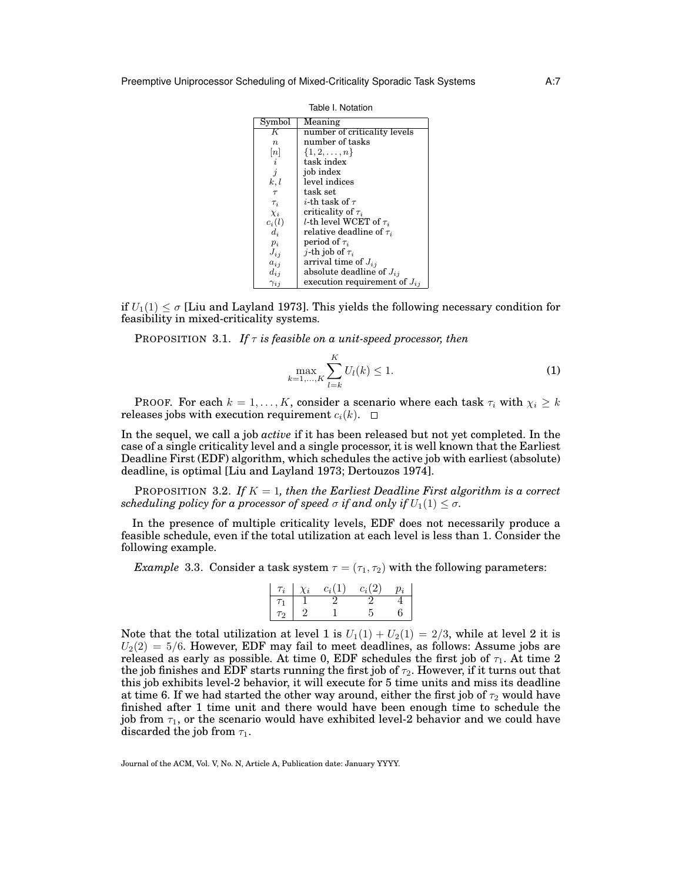| Symbol            | Meaning                             |
|-------------------|-------------------------------------|
| K                 | number of criticality levels        |
| $\boldsymbol{n}$  | number of tasks                     |
| $\left[ n\right]$ | $\{1, 2, \ldots, n\}$               |
| $\dot{\imath}$    | task index                          |
| $\boldsymbol{j}$  | job index                           |
| k, l              | level indices                       |
| $\tau$            | task set                            |
| $\tau_i$          | i-th task of $\tau$                 |
| $\chi_i$          | criticality of $\tau_i$             |
| $c_i(l)$          | <i>l</i> -th level WCET of $\tau_i$ |
| $d_i$             | relative deadline of $\tau_i$       |
| $p_i$             | period of $\tau_i$                  |
| $J_{i,i}$         | <i>j</i> -th job of $\tau_i$        |
| $a_{ij}$          | arrival time of $J_{ij}$            |
| $d_{ij}$          | absolute deadline of $J_{ij}$       |
| $\gamma_{ij}$     | execution requirement of $J_{ij}$   |

Table I. Notation

if  $U_1(1) \leq \sigma$  [Liu and Layland 1973]. This yields the following necessary condition for feasibility in mixed-criticality systems.

PROPOSITION 3.1. *If*  $\tau$  *is feasible on a unit-speed processor, then* 

$$
\max_{k=1,\dots,K} \sum_{l=k}^{K} U_l(k) \le 1.
$$
 (1)

PROOF. For each  $k = 1, ..., K$ , consider a scenario where each task  $\tau_i$  with  $\chi_i \geq k$ releases jobs with execution requirement  $c_i(k)$ .  $\Box$ 

In the sequel, we call a job *active* if it has been released but not yet completed. In the case of a single criticality level and a single processor, it is well known that the Earliest Deadline First (EDF) algorithm, which schedules the active job with earliest (absolute) deadline, is optimal [Liu and Layland 1973; Dertouzos 1974].

PROPOSITION 3.2. If  $K = 1$ , then the Earliest Deadline First algorithm is a correct *scheduling policy for a processor of speed*  $\sigma$  *if and only if*  $U_1(1) \leq \sigma$ *.* 

In the presence of multiple criticality levels, EDF does not necessarily produce a feasible schedule, even if the total utilization at each level is less than 1. Consider the following example.

*Example* 3.3. Consider a task system  $\tau = (\tau_1, \tau_2)$  with the following parameters:

| $\tau_i$ | $\chi_i$ | $c_i(1)$ | $c_i(2)$ | $v_i$ |
|----------|----------|----------|----------|-------|
|          |          |          |          |       |
| Τ9.      |          |          |          | h     |

Note that the total utilization at level 1 is  $U_1(1) + U_2(1) = 2/3$ , while at level 2 it is  $U_2(2) = 5/6$ . However, EDF may fail to meet deadlines, as follows: Assume jobs are released as early as possible. At time 0, EDF schedules the first job of  $\tau_1$ . At time 2 the job finishes and EDF starts running the first job of  $\tau_2$ . However, if it turns out that this job exhibits level-2 behavior, it will execute for 5 time units and miss its deadline at time 6. If we had started the other way around, either the first job of  $\tau_2$  would have finished after 1 time unit and there would have been enough time to schedule the job from  $\tau_1$ , or the scenario would have exhibited level-2 behavior and we could have discarded the job from  $\tau_1$ .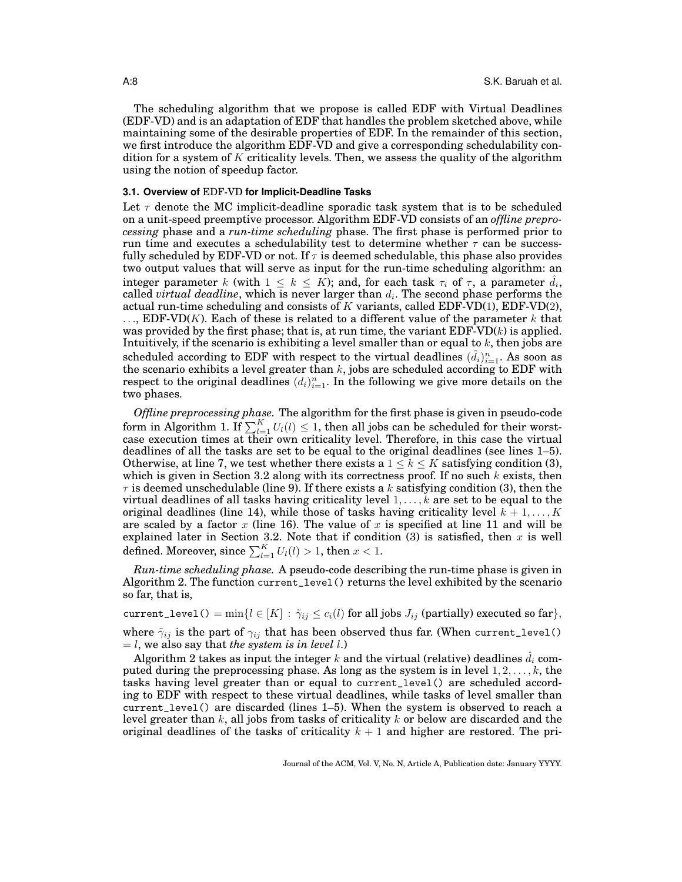The scheduling algorithm that we propose is called EDF with Virtual Deadlines (EDF-VD) and is an adaptation of EDF that handles the problem sketched above, while maintaining some of the desirable properties of EDF. In the remainder of this section, we first introduce the algorithm EDF-VD and give a corresponding schedulability condition for a system of  $K$  criticality levels. Then, we assess the quality of the algorithm using the notion of speedup factor.

## **3.1. Overview of** EDF-VD **for Implicit-Deadline Tasks**

Let  $\tau$  denote the MC implicit-deadline sporadic task system that is to be scheduled on a unit-speed preemptive processor. Algorithm EDF-VD consists of an *offline preprocessing* phase and a *run-time scheduling* phase. The first phase is performed prior to run time and executes a schedulability test to determine whether  $\tau$  can be successfully scheduled by EDF-VD or not. If  $\tau$  is deemed schedulable, this phase also provides two output values that will serve as input for the run-time scheduling algorithm: an integer parameter k (with  $1 \leq k \leq K$ ); and, for each task  $\tau_i$  of  $\tau$ , a parameter  $\hat{d}_i$ , called  $virtual\ deadline,$  which is never larger than  $d_i.$  The second phase performs the actual run-time scheduling and consists of K variants, called EDF-VD(1), EDF-VD(2),  $\ldots$ , EDF-VD(K). Each of these is related to a different value of the parameter k that was provided by the first phase; that is, at run time, the variant  $EDF-VD(k)$  is applied. Intuitively, if the scenario is exhibiting a level smaller than or equal to  $k$ , then jobs are scheduled according to EDF with respect to the virtual deadlines  $(\hat{d}_i)_{i=1}^n$ . As soon as the scenario exhibits a level greater than  $k$ , jobs are scheduled according to EDF with respect to the original deadlines  $(d_i)_{i=1}^n$ . In the following we give more details on the two phases.

*Offline preprocessing phase.* The algorithm for the first phase is given in pseudo-code form in Algorithm 1. If  $\sum_{l=1}^{K} U_l(l) \leq 1$ , then all jobs can be scheduled for their worstcase execution times at their own criticality level. Therefore, in this case the virtual deadlines of all the tasks are set to be equal to the original deadlines (see lines 1–5). Otherwise, at line 7, we test whether there exists a  $1 \leq k \leq K$  satisfying condition (3), which is given in Section 3.2 along with its correctness proof. If no such  $k$  exists, then  $\tau$  is deemed unschedulable (line 9). If there exists a k satisfying condition (3), then the virtual deadlines of all tasks having criticality level  $1, \ldots, k$  are set to be equal to the original deadlines (line 14), while those of tasks having criticality level  $k + 1, \ldots, K$ are scaled by a factor  $x$  (line 16). The value of  $x$  is specified at line 11 and will be explained later in Section 3.2. Note that if condition (3) is satisfied, then x is well defined. Moreover, since  $\sum_{l=1}^K U_l(l) > 1$ , then  $x < 1$ .

*Run-time scheduling phase.* A pseudo-code describing the run-time phase is given in Algorithm 2. The function current\_level() returns the level exhibited by the scenario so far, that is,

current\_level() =  $\min\{l \in [K] : \tilde{\gamma}_{ij} \leq c_i(l)$  for all jobs  $J_{ij}$  (partially) executed so far},

where  $\tilde{\gamma}_{ij}$  is the part of  $\gamma_{ij}$  that has been observed thus far. (When current\_level()  $=$  l, we also say that *the system is in level* l.)

Algorithm 2 takes as input the integer k and the virtual (relative) deadlines  $d_i$  computed during the preprocessing phase. As long as the system is in level  $1, 2, \ldots, k$ , the tasks having level greater than or equal to current\_level() are scheduled according to EDF with respect to these virtual deadlines, while tasks of level smaller than current\_level() are discarded (lines 1–5). When the system is observed to reach a level greater than k, all jobs from tasks of criticality k or below are discarded and the original deadlines of the tasks of criticality  $k + 1$  and higher are restored. The pri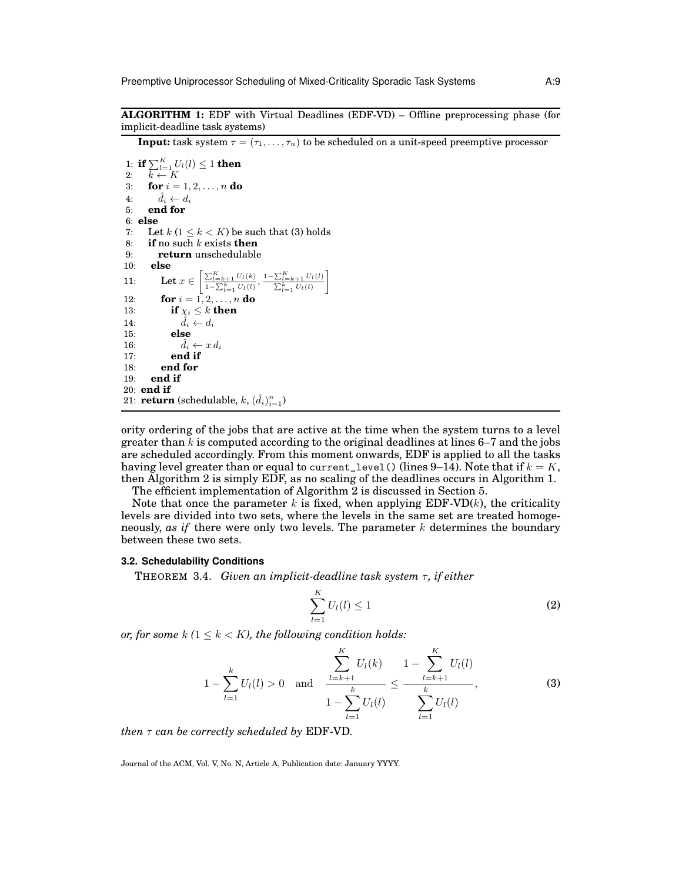**ALGORITHM 1:** EDF with Virtual Deadlines (EDF-VD) – Offline preprocessing phase (for implicit-deadline task systems)

**Input:** task system  $\tau = (\tau_1, \ldots, \tau_n)$  to be scheduled on a unit-speed preemptive processor

1: **if**  $\sum_{l=1}^{K} U_l(l) \le 1$  **then**<br>2:  $k \leftarrow K$ 3: **for**  $i = 1, 2, ..., n$  **do** 4:  $\hat{d}_i \leftarrow d_i$ <br>5: end for 5: **end for** 6: **else** 7: Let  $k$   $(1 \leq k \leq K)$  be such that (3) holds 8: **if** no such k exists **then** 9: **return** unschedulable 10: **else** 11: Let  $x \in \left[ \frac{\sum_{l=k+1}^{K} U_l(k)}{1-\sum_{l=1}^{k} U_l(l)}, \frac{1-\sum_{l=k+1}^{K} U_l(l)}{\sum_{l=1}^{k} U_l(l)} \right]$ 1 12: **for**  $i = 1, 2, ..., n$  **do** 13: **if**  $\chi_i \leq k$  **then** 14:  $\hat{d}_i \leftarrow d_i$ 15: **else** 16:  $\hat{d}_i \leftarrow x d_i$ 17: **end if** 18: **end for** 19: **end if** 20: **end if** 21: **return** (schedulable,  $k$ ,  $(\hat{d}_i)_{i=1}^n$ )

ority ordering of the jobs that are active at the time when the system turns to a level greater than  $k$  is computed according to the original deadlines at lines 6–7 and the jobs are scheduled accordingly. From this moment onwards, EDF is applied to all the tasks having level greater than or equal to current level() (lines 9–14). Note that if  $k = K$ , then Algorithm 2 is simply EDF, as no scaling of the deadlines occurs in Algorithm 1. The efficient implementation of Algorithm 2 is discussed in Section 5.

Note that once the parameter k is fixed, when applying  $EDF-VD(k)$ , the criticality levels are divided into two sets, where the levels in the same set are treated homogeneously, *as if* there were only two levels. The parameter k determines the boundary between these two sets.

#### **3.2. Schedulability Conditions**

**THEOREM 3.4.** *Given an implicit-deadline task system*  $\tau$ *, if either* 

$$
\sum_{l=1}^{K} U_l(l) \le 1
$$
\n(2)

K

*or, for some*  $k$  ( $1 \leq k \leq K$ ), the following condition holds:

$$
1 - \sum_{l=1}^{k} U_{l}(l) > 0 \text{ and } \frac{\sum_{l=k+1}^{K} U_{l}(k)}{1 - \sum_{l=1}^{k} U_{l}(l)} \le \frac{1 - \sum_{l=k+1}^{K} U_{l}(l)}{\sum_{l=1}^{k} U_{l}(l)}, \qquad (3)
$$

*then* τ *can be correctly scheduled by* EDF-VD*.*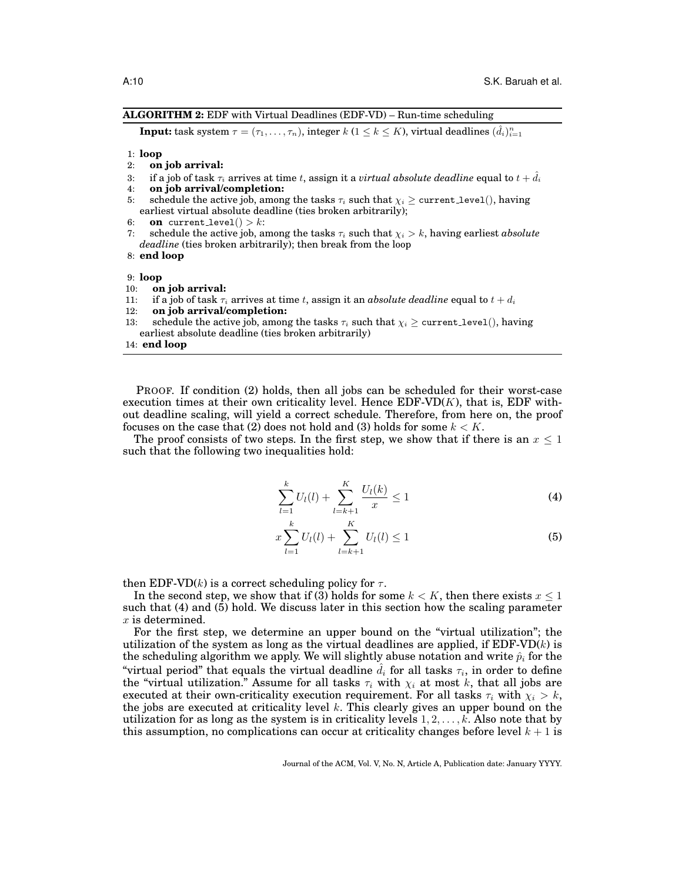#### **ALGORITHM 2:** EDF with Virtual Deadlines (EDF-VD) – Run-time scheduling

 $\textbf{Input: } \text{task system } \tau = (\tau_1, \ldots, \tau_n), \text{ integer } k \text{ } (1 \leq k \leq K) \text{, virtual deadlines } (\hat{d}_i)_{i=1}^n$ 

#### 1: **loop**

- 2: **on job arrival:**
- 3: if a job of task  $\tau_i$  arrives at time t, assign it a *virtual absolute deadline* equal to  $t + d_i$
- 4: **on job arrival/completion:**
- 5: schedule the active job, among the tasks  $\tau_i$  such that  $\chi_i \geq$  current level(), having earliest virtual absolute deadline (ties broken arbitrarily);
- 6: **on** current level() > k:
- 7: schedule the active job, among the tasks  $\tau_i$  such that  $\chi_i > k$ , having earliest *absolute deadline* (ties broken arbitrarily); then break from the loop
- 8: **end loop**

9: **loop**

- 10: **on job arrival:**
- 11: if a job of task  $\tau_i$  arrives at time t, assign it an *absolute deadline* equal to  $t + d_i$
- 12: **on job arrival/completion:**
- 13: schedule the active job, among the tasks  $\tau_i$  such that  $\chi_i \geq$  current level(), having earliest absolute deadline (ties broken arbitrarily)
- 14: **end loop**

PROOF. If condition (2) holds, then all jobs can be scheduled for their worst-case execution times at their own criticality level. Hence  $EDF-VD(K)$ , that is,  $EDF$  without deadline scaling, will yield a correct schedule. Therefore, from here on, the proof focuses on the case that (2) does not hold and (3) holds for some  $k < K$ .

The proof consists of two steps. In the first step, we show that if there is an  $x \leq 1$ such that the following two inequalities hold:

$$
\sum_{l=1}^{k} U_{l}(l) + \sum_{l=k+1}^{K} \frac{U_{l}(k)}{x} \le 1
$$
\n(4)

$$
x\sum_{l=1}^{k}U_{l}(l)+\sum_{l=k+1}^{K}U_{l}(l)\leq 1
$$
\n(5)

then EDF-VD(k) is a correct scheduling policy for  $\tau$ .

In the second step, we show that if (3) holds for some  $k < K$ , then there exists  $x \leq 1$ such that (4) and (5) hold. We discuss later in this section how the scaling parameter  $x$  is determined.

For the first step, we determine an upper bound on the "virtual utilization"; the utilization of the system as long as the virtual deadlines are applied, if  $EDF-VD(k)$  is the scheduling algorithm we apply. We will slightly abuse notation and write  $\hat{p}_i$  for the "virtual period" that equals the virtual deadline  $\hat{d}_i$  for all tasks  $\tau_i$ , in order to define the "virtual utilization." Assume for all tasks  $\tau_i$  with  $\chi_i$  at most k, that all jobs are executed at their own-criticality execution requirement. For all tasks  $\tau_i$  with  $\chi_i > k$ , the jobs are executed at criticality level k. This clearly gives an upper bound on the utilization for as long as the system is in criticality levels  $1, 2, \ldots, k$ . Also note that by this assumption, no complications can occur at criticality changes before level  $k + 1$  is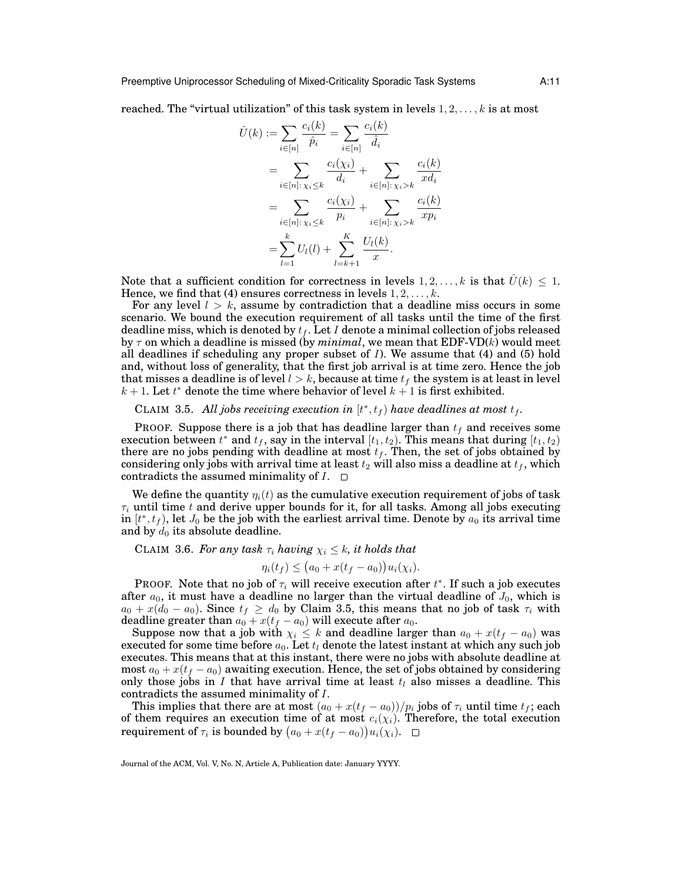reached. The "virtual utilization" of this task system in levels  $1, 2, \ldots, k$  is at most

$$
\hat{U}(k) := \sum_{i \in [n]} \frac{c_i(k)}{\hat{p}_i} = \sum_{i \in [n]} \frac{c_i(k)}{\hat{d}_i} \n= \sum_{i \in [n]: \chi_i \le k} \frac{c_i(\chi_i)}{d_i} + \sum_{i \in [n]: \chi_i > k} \frac{c_i(k)}{xd_i} \n= \sum_{i \in [n]: \chi_i \le k} \frac{c_i(\chi_i)}{p_i} + \sum_{i \in [n]: \chi_i > k} \frac{c_i(k)}{xp_i} \n= \sum_{l=1}^k U_l(l) + \sum_{l=k+1}^K \frac{U_l(k)}{x}.
$$

Note that a sufficient condition for correctness in levels  $1, 2, \ldots, k$  is that  $U(k) \leq 1$ . Hence, we find that (4) ensures correctness in levels  $1, 2, \ldots, k$ .

For any level  $l > k$ , assume by contradiction that a deadline miss occurs in some scenario. We bound the execution requirement of all tasks until the time of the first deadline miss, which is denoted by  $t_f$ . Let I denote a minimal collection of jobs released by  $\tau$  on which a deadline is missed (by *minimal*, we mean that EDF-VD $(k)$  would meet all deadlines if scheduling any proper subset of  $I$ ). We assume that  $(4)$  and  $(5)$  hold and, without loss of generality, that the first job arrival is at time zero. Hence the job that misses a deadline is of level  $l > k$ , because at time  $t_f$  the system is at least in level  $k + 1$ . Let  $t^*$  denote the time where behavior of level  $k + 1$  is first exhibited.

# CLAIM 3.5. All jobs receiving execution in  $[t^*, t_f)$  have deadlines at most  $t_f$ .

PROOF. Suppose there is a job that has deadline larger than  $t_f$  and receives some execution between  $t^*$  and  $t_f$ , say in the interval  $[t_1, t_2)$ . This means that during  $[t_1, t_2)$ there are no jobs pending with deadline at most  $t_f$ . Then, the set of jobs obtained by considering only jobs with arrival time at least  $t_2$  will also miss a deadline at  $t_f$ , which contradicts the assumed minimality of  $I$ .  $\Box$ 

We define the quantity  $\eta_i(t)$  as the cumulative execution requirement of jobs of task  $\tau_i$  until time t and derive upper bounds for it, for all tasks. Among all jobs executing in  $[t^*, t_f)$ , let  $J_0$  be the job with the earliest arrival time. Denote by  $a_0$  its arrival time and by  $d_0$  its absolute deadline.

CLAIM 3.6. For any task  $\tau_i$  having  $\chi_i \leq k$ , it holds that

 $\eta_i(t_f) \leq (a_0 + x(t_f - a_0))u_i(\chi_i).$ 

PROOF. Note that no job of  $\tau_i$  will receive execution after  $t^*$ . If such a job executes after  $a_0$ , it must have a deadline no larger than the virtual deadline of  $J_0$ , which is  $a_0 + x(d_0 - a_0)$ . Since  $t_f \ge d_0$  by Claim 3.5, this means that no job of task  $\tau_i$  with deadline greater than  $a_0 + x(t_f - a_0)$  will execute after  $a_0$ .

Suppose now that a job with  $\chi_i\leq k$  and deadline larger than  $a_0+x(t_f-a_0)$  was executed for some time before  $a_0$ . Let  $t_l$  denote the latest instant at which any such job executes. This means that at this instant, there were no jobs with absolute deadline at most  $a_0 + x(t_f - a_0)$  awaiting execution. Hence, the set of jobs obtained by considering only those jobs in I that have arrival time at least  $t_l$  also misses a deadline. This contradicts the assumed minimality of I.

This implies that there are at most  $(a_0 + x(t_f - a_0))/p_i$  jobs of  $\tau_i$  until time  $t_f$ ; each of them requires an execution time of at most  $c_i(\chi_i)$ . Therefore, the total execution requirement of  $\tau_i$  is bounded by  $\big(a_0 + x(t_f - a_0)\big)u_i(\chi_i).$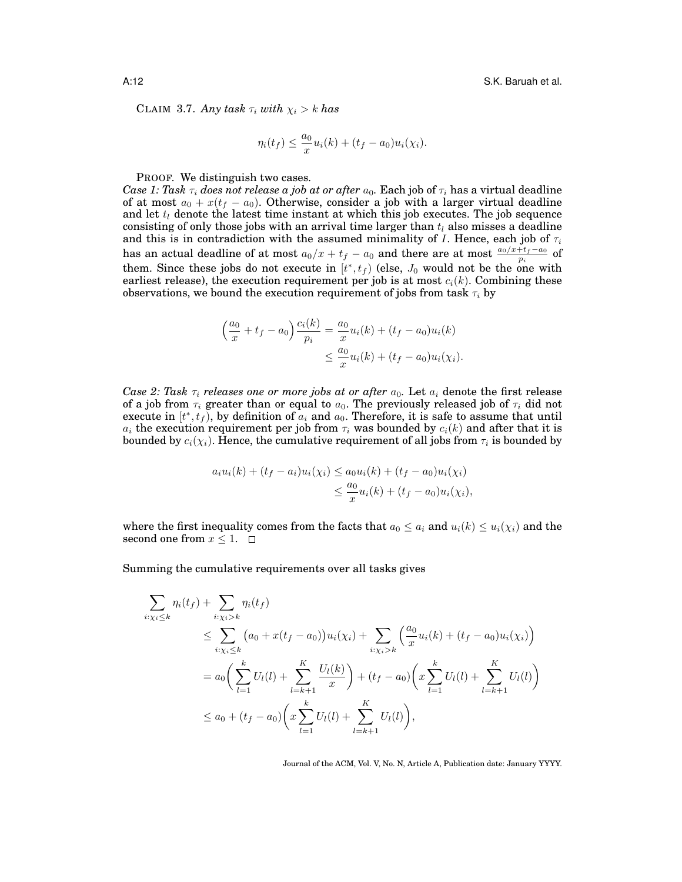CLAIM 3.7. *Any task*  $\tau_i$  *with*  $\chi_i > k$  *has* 

$$
\eta_i(t_f) \le \frac{a_0}{x} u_i(k) + (t_f - a_0) u_i(\chi_i).
$$

PROOF. We distinguish two cases.

*Case 1: Task*  $\tau_i$  *does not release a job at or after*  $a_0$ . Each job of  $\tau_i$  has a virtual deadline of at most  $a_0 + x(t_f - a_0)$ . Otherwise, consider a job with a larger virtual deadline and let  $t_i$  denote the latest time instant at which this job executes. The job sequence consisting of only those jobs with an arrival time larger than  $t_l$  also misses a deadline and this is in contradiction with the assumed minimality of *I*. Hence, each job of  $\tau_i$ has an actual deadline of at most  $a_0/x+t_f-a_0$  and there are at most  $\frac{a_0/x+t_f-a_0}{p_i}$  of them. Since these jobs do not execute in  $[t^*, t_f)$  (else,  $J_0$  would not be the one with earliest release), the execution requirement per job is at most  $c_i(k)$ . Combining these observations, we bound the execution requirement of jobs from task  $\tau_i$  by

$$
\left(\frac{a_0}{x} + t_f - a_0\right) \frac{c_i(k)}{p_i} = \frac{a_0}{x} u_i(k) + (t_f - a_0) u_i(k)
$$
  

$$
\leq \frac{a_0}{x} u_i(k) + (t_f - a_0) u_i(\chi_i).
$$

*Case 2: Task*  $\tau_i$  *releases one or more jobs at or after*  $a_0$ . Let  $a_i$  denote the first release of a job from  $\tau_i$  greater than or equal to  $a_0$ . The previously released job of  $\tau_i$  did not execute in  $[t^*, t_f]$ , by definition of  $a_i$  and  $a_0$ . Therefore, it is safe to assume that until  $a_i$  the execution requirement per job from  $\tau_i$  was bounded by  $c_i(k)$  and after that it is bounded by  $c_i(\chi_i)$ . Hence, the cumulative requirement of all jobs from  $\tau_i$  is bounded by

$$
a_i u_i(k) + (t_f - a_i) u_i(\chi_i) \le a_0 u_i(k) + (t_f - a_0) u_i(\chi_i)
$$
  

$$
\le \frac{a_0}{x} u_i(k) + (t_f - a_0) u_i(\chi_i),
$$

where the first inequality comes from the facts that  $a_0 \leq a_i$  and  $u_i(k) \leq u_i(\chi_i)$  and the second one from  $x \leq 1$ .  $\Box$ 

Summing the cumulative requirements over all tasks gives

$$
\sum_{i:\chi_i \leq k} \eta_i(t_f) + \sum_{i:\chi_i > k} \eta_i(t_f)
$$
\n
$$
\leq \sum_{i:\chi_i \leq k} (a_0 + x(t_f - a_0))u_i(\chi_i) + \sum_{i:\chi_i > k} \left(\frac{a_0}{x}u_i(k) + (t_f - a_0)u_i(\chi_i)\right)
$$
\n
$$
= a_0 \left(\sum_{l=1}^k U_l(l) + \sum_{l=k+1}^K \frac{U_l(k)}{x}\right) + (t_f - a_0) \left(x \sum_{l=1}^K U_l(l) + \sum_{l=k+1}^K U_l(l)\right)
$$
\n
$$
\leq a_0 + (t_f - a_0) \left(x \sum_{l=1}^K U_l(l) + \sum_{l=k+1}^K U_l(l)\right),
$$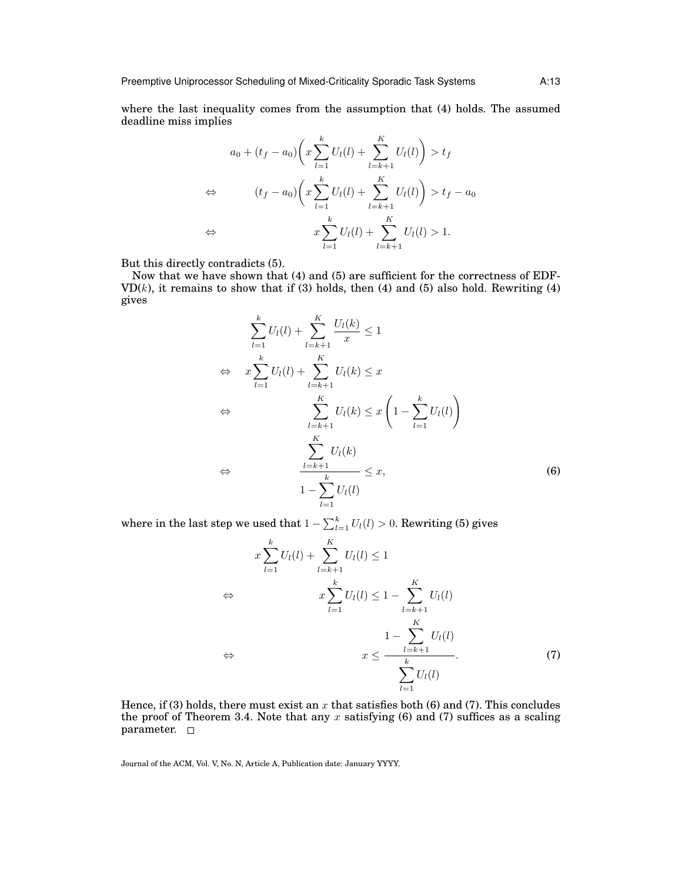where the last inequality comes from the assumption that (4) holds. The assumed deadline miss implies

$$
a_0 + (t_f - a_0) \left( x \sum_{l=1}^k U_l(l) + \sum_{l=k+1}^K U_l(l) \right) > t_f
$$
\n
$$
\Leftrightarrow \qquad (t_f - a_0) \left( x \sum_{l=1}^k U_l(l) + \sum_{l=k+1}^K U_l(l) \right) > t_f - a_0
$$
\n
$$
\Leftrightarrow \qquad x \sum_{l=1}^k U_l(l) + \sum_{l=k+1}^K U_l(l) > 1.
$$

But this directly contradicts (5).

Now that we have shown that (4) and (5) are sufficient for the correctness of EDF- $VD(k)$ , it remains to show that if (3) holds, then (4) and (5) also hold. Rewriting (4) gives

$$
\sum_{l=1}^{k} U_l(l) + \sum_{l=k+1}^{K} \frac{U_l(k)}{x} \le 1
$$
\n
$$
\Leftrightarrow \quad x \sum_{l=1}^{k} U_l(l) + \sum_{l=k+1}^{K} U_l(k) \le x
$$
\n
$$
\Leftrightarrow \quad \sum_{l=k+1}^{K} U_l(k) \le x \left(1 - \sum_{l=1}^{k} U_l(l)\right)
$$
\n
$$
\Leftrightarrow \quad \sum_{l=k+1}^{K} U_l(k)
$$
\n
$$
\Leftrightarrow \quad \frac{\sum_{l=k+1}^{K} U_l(k)}{1 - \sum_{l=1}^{k} U_l(l)}
$$
\n(6)

where in the last step we used that  $1-\sum_{l=1}^k U_l(l)>0.$  Rewriting (5) gives

$$
x\sum_{l=1}^{k}U_{l}(l) + \sum_{l=k+1}^{K}U_{l}(l) \leq 1
$$
  
\n
$$
\Leftrightarrow \qquad x\sum_{l=1}^{k}U_{l}(l) \leq 1 - \sum_{l=k+1}^{K}U_{l}(l)
$$
  
\n
$$
\Leftrightarrow \qquad 1 - \sum_{l=k+1}^{K}U_{l}(l)
$$
  
\n
$$
\Leftrightarrow \qquad x \leq \frac{1 - k + 1}{\sum_{l=1}^{K}U_{l}(l)}
$$
  
\n(7)

Hence, if (3) holds, there must exist an x that satisfies both (6) and (7). This concludes the proof of Theorem 3.4. Note that any  $x$  satisfying (6) and (7) suffices as a scaling parameter.  $\square$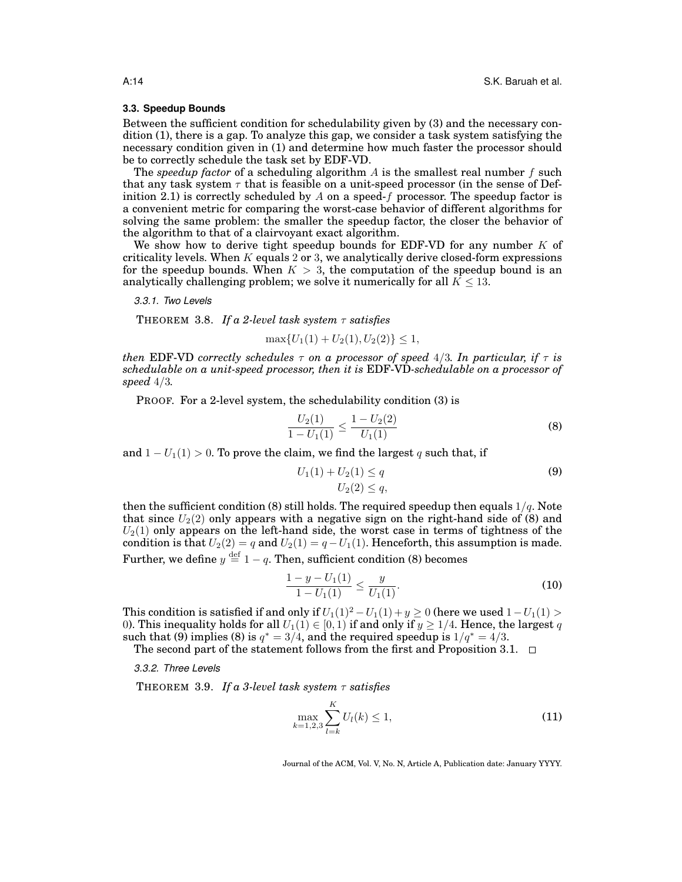## **3.3. Speedup Bounds**

Between the sufficient condition for schedulability given by (3) and the necessary condition (1), there is a gap. To analyze this gap, we consider a task system satisfying the necessary condition given in (1) and determine how much faster the processor should be to correctly schedule the task set by EDF-VD.

The *speedup factor* of a scheduling algorithm  $A$  is the smallest real number  $f$  such that any task system  $\tau$  that is feasible on a unit-speed processor (in the sense of Definition 2.1) is correctly scheduled by A on a speed-f processor. The speedup factor is a convenient metric for comparing the worst-case behavior of different algorithms for solving the same problem: the smaller the speedup factor, the closer the behavior of the algorithm to that of a clairvoyant exact algorithm.

We show how to derive tight speedup bounds for EDF-VD for any number  $K$  of criticality levels. When  $K$  equals 2 or 3, we analytically derive closed-form expressions for the speedup bounds. When  $K > 3$ , the computation of the speedup bound is an analytically challenging problem; we solve it numerically for all  $K \leq 13$ .

*3.3.1. Two Levels*

THEOREM 3.8. *If a 2-level task system* τ *satisfies*

 $\max\{U_1(1) + U_2(1), U_2(2)\} \leq 1$ 

*then* EDF-VD *correctly schedules*  $\tau$  *on a processor of speed* 4/3*. In particular, if*  $\tau$  *is schedulable on a unit-speed processor, then it is* EDF-VD*-schedulable on a processor of speed* 4/3*.*

PROOF. For a 2-level system, the schedulability condition (3) is

$$
\frac{U_2(1)}{1 - U_1(1)} \le \frac{1 - U_2(2)}{U_1(1)}
$$
\n(8)

and  $1 - U_1(1) > 0$ . To prove the claim, we find the largest q such that, if

$$
U_1(1) + U_2(1) \le q
$$
  
\n
$$
U_2(2) \le q,
$$
\n(9)

then the sufficient condition (8) still holds. The required speedup then equals  $1/q$ . Note that since  $U_2(2)$  only appears with a negative sign on the right-hand side of (8) and  $U_2(1)$  only appears on the left-hand side, the worst case in terms of tightness of the condition is that  $U_2(2) = q$  and  $U_2(1) = q - U_1(1)$ . Henceforth, this assumption is made. Further, we define  $y \stackrel{\text{def}}{=} 1-q.$  Then, sufficient condition (8) becomes

$$
\frac{1-y-U_1(1)}{1-U_1(1)} \le \frac{y}{U_1(1)}.\tag{10}
$$

This condition is satisfied if and only if  $U_1(1)^2 - U_1(1) + y \ge 0$  (here we used  $1 - U_1(1) > 0$ 0). This inequality holds for all  $U_1(1) \in [0, 1)$  if and only if  $y \ge 1/4$ . Hence, the largest q such that (9) implies (8) is  $q^* = 3/4$ , and the required speedup is  $1/q^* = 4/3$ .

The second part of the statement follows from the first and Proposition 3.1.  $\Box$ 

*3.3.2. Three Levels*

THEOREM 3.9. *If a 3-level task system* τ *satisfies*

$$
\max_{k=1,2,3} \sum_{l=k}^{K} U_l(k) \le 1,
$$
\n(11)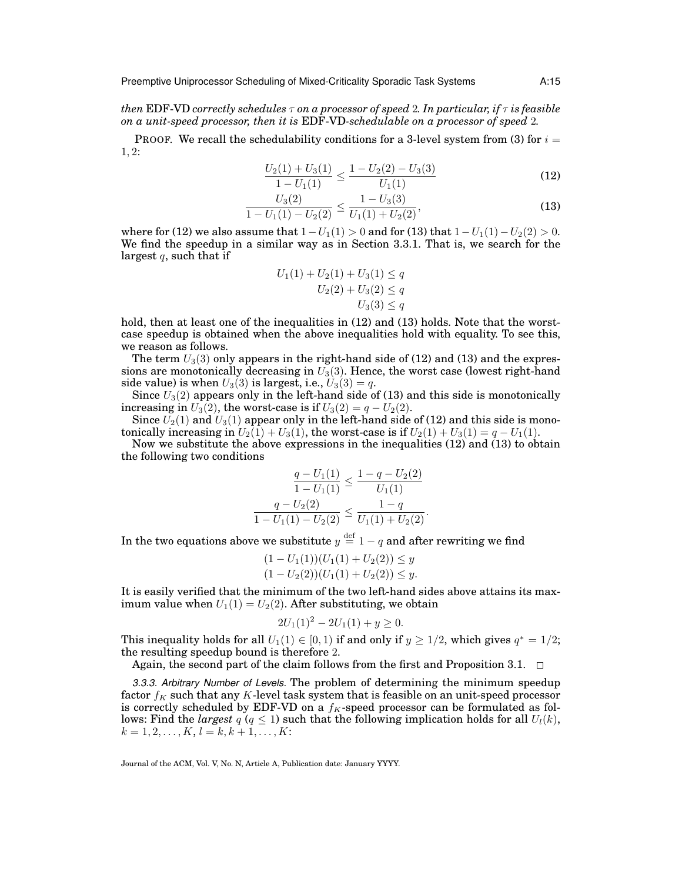*then* EDF-VD *correctly schedules*  $\tau$  *on a processor of speed 2. In particular, if*  $\tau$  *is feasible on a unit-speed processor, then it is* EDF-VD*-schedulable on a processor of speed* 2*.*

PROOF. We recall the schedulability conditions for a 3-level system from (3) for  $i =$ 1, 2:

$$
\frac{U_2(1) + U_3(1)}{1 - U_1(1)} \le \frac{1 - U_2(2) - U_3(3)}{U_1(1)}
$$
\n(12)

$$
\frac{U_3(2)}{1 - U_1(1) - U_2(2)} \le \frac{1 - U_3(3)}{U_1(1) + U_2(2)},\tag{13}
$$

where for (12) we also assume that  $1-U_1(1) > 0$  and for (13) that  $1-U_1(1) - U_2(2) > 0$ . We find the speedup in a similar way as in Section 3.3.1. That is, we search for the largest  $q$ , such that if

$$
U_1(1) + U_2(1) + U_3(1) \le q
$$
  

$$
U_2(2) + U_3(2) \le q
$$
  

$$
U_3(3) \le q
$$

hold, then at least one of the inequalities in  $(12)$  and  $(13)$  holds. Note that the worstcase speedup is obtained when the above inequalities hold with equality. To see this, we reason as follows.

The term  $U_3(3)$  only appears in the right-hand side of (12) and (13) and the expressions are monotonically decreasing in  $U_3(3)$ . Hence, the worst case (lowest right-hand side value) is when  $U_3(3)$  is largest, i.e.,  $U_3(3) = q$ .

Since  $U_3(2)$  appears only in the left-hand side of (13) and this side is monotonically increasing in  $U_3(2)$ , the worst-case is if  $U_3(2) = q - U_2(2)$ .

Since  $U_2(1)$  and  $U_3(1)$  appear only in the left-hand side of (12) and this side is monotonically increasing in  $U_2(1) + U_3(1)$ , the worst-case is if  $U_2(1) + U_3(1) = q - U_1(1)$ .

Now we substitute the above expressions in the inequalities (12) and (13) to obtain the following two conditions

$$
\frac{q - U_1(1)}{1 - U_1(1)} \le \frac{1 - q - U_2(2)}{U_1(1)}
$$

$$
\frac{q - U_2(2)}{1 - U_1(1) - U_2(2)} \le \frac{1 - q}{U_1(1) + U_2(2)}.
$$

In the two equations above we substitute  $y \stackrel{\text{def}}{=} 1-q$  and after rewriting we find

$$
(1 - U1(1))(U1(1) + U2(2)) \le y (1 - U2(2))(U1(1) + U2(2)) \le y.
$$

It is easily verified that the minimum of the two left-hand sides above attains its maximum value when  $U_1(1) = U_2(2)$ . After substituting, we obtain

$$
2U_1(1)^2 - 2U_1(1) + y \ge 0.
$$

This inequality holds for all  $U_1(1) \in [0, 1)$  if and only if  $y \ge 1/2$ , which gives  $q^* = 1/2$ ; the resulting speedup bound is therefore 2.

Again, the second part of the claim follows from the first and Proposition 3.1.  $\Box$ 

*3.3.3. Arbitrary Number of Levels.* The problem of determining the minimum speedup factor  $f_K$  such that any K-level task system that is feasible on an unit-speed processor is correctly scheduled by EDF-VD on a  $f<sub>K</sub>$ -speed processor can be formulated as follows: Find the *largest*  $q$  ( $q \leq 1$ ) such that the following implication holds for all  $U_l(k)$ ,  $k = 1, 2, \ldots, K, l = k, k + 1, \ldots, K$ :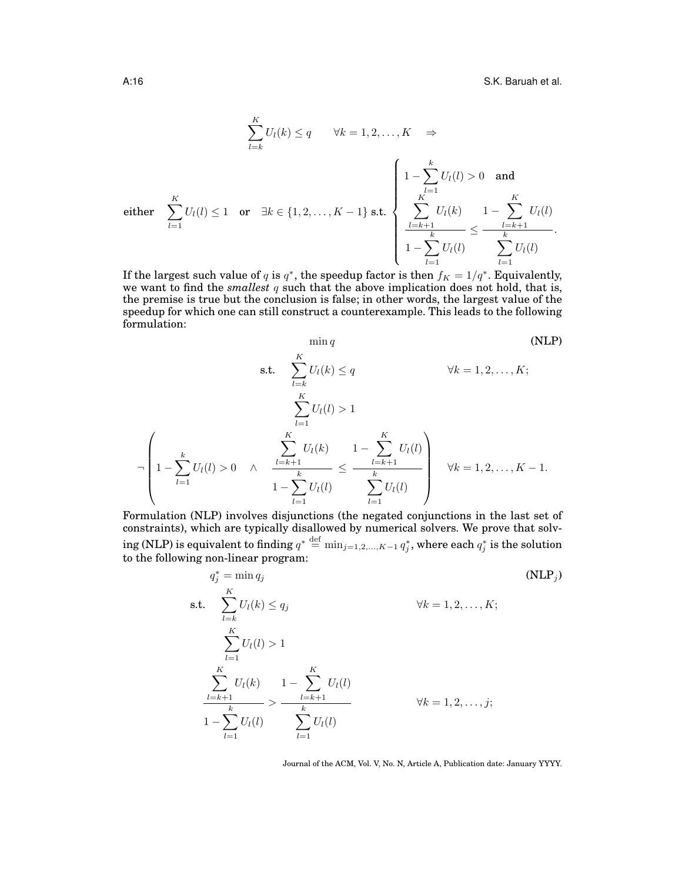$$
\sum_{l=k}^{K} U_{l}(k) \leq q \qquad \forall k = 1, 2, ..., K \quad \Rightarrow
$$
\n
$$
\text{either } \sum_{l=1}^{K} U_{l}(l) \leq 1 \quad \text{or} \quad \exists k \in \{1, 2, ..., K-1\} \text{ s.t.} \begin{cases}\n1 - \sum_{l=1}^{k} U_{l}(l) > 0 \quad \text{and} \\
\sum_{l=k+1}^{K} U_{l}(k) & 1 - \sum_{l=k+1}^{K} U_{l}(l) \\
1 - \sum_{l=1}^{k} U_{l}(l) & \sum_{l=1}^{K} U_{l}(l)\n\end{cases}.
$$

If the largest such value of q is  $q^*$ , the speedup factor is then  $f_K = 1/q^*$ . Equivalently, we want to find the *smallest* q such that the above implication does not hold, that is, the premise is true but the conclusion is false; in other words, the largest value of the speedup for which one can still construct a counterexample. This leads to the following formulation:

$$
\min q
$$
 (NLP)  
\ns.t. 
$$
\sum_{l=k}^{K} U_{l}(k) \le q
$$
  $\forall k = 1, 2, ..., K;$   
\n
$$
\sum_{l=1}^{K} U_{l}(l) > 1
$$
  
\n
$$
-\left(1 - \sum_{l=1}^{k} U_{l}(l) > 0 \quad \land \quad \frac{\sum_{l=k+1}^{K} U_{l}(k)}{1 - \sum_{l=1}^{k} U_{l}(l)} \le \frac{\sum_{l=k+1}^{K} U_{l}(l)}{\sum_{l=1}^{k} U_{l}(l)}\right) \quad \forall k = 1, 2, ..., K - 1.
$$

Formulation (NLP) involves disjunctions (the negated conjunctions in the last set of constraints), which are typically disallowed by numerical solvers. We prove that solv- ${\rm (NLP)}$  is equivalent to finding  $q^* \stackrel{\rm def}{=} \min_{j=1,2,...,K-1} q^*_j,$  where each  $q^*_j$  is the solution to the following non-linear program:

$$
q_j^* = \min_{l} q_j
$$
\n
$$
\text{s.t. } \sum_{l=k}^{K} U_l(k) \le q_j
$$
\n
$$
\sum_{l=1}^{K} U_l(l) > 1
$$
\n
$$
\sum_{l=k+1}^{K} U_l(l) > 1 - \sum_{l=k+1}^{K} U_l(l)
$$
\n
$$
1 - \sum_{l=1}^{k} U_l(l)
$$
\n
$$
\sum_{l=1}^{K} U_l(l)
$$
\n
$$
\sum_{l=1}^{K} U_l(l)
$$
\n
$$
\sum_{l=1}^{K} U_l(l)
$$
\n
$$
\text{where } \sum_{l=1}^{K} U_l(l)
$$
\n
$$
\text{where } \sum_{l=1}^{K} U_l(l)
$$
\n
$$
\text{where } \sum_{l=1}^{K} U_l(l)
$$
\n
$$
\text{where } \sum_{l=1}^{K} U_l(l)
$$
\n
$$
\text{where } \sum_{l=1}^{K} U_l(l)
$$
\n
$$
\text{where } \sum_{l=1}^{K} U_l(l)
$$
\n
$$
\text{where } \sum_{l=1}^{K} U_l(l)
$$
\n
$$
\text{where } \sum_{l=1}^{K} U_l(l)
$$
\n
$$
\text{where } \sum_{l=1}^{K} U_l(l)
$$
\n
$$
\text{where } \sum_{l=1}^{K} U_l(l)
$$
\n
$$
\text{where } \sum_{l=1}^{K} U_l(l)
$$
\n
$$
\text{where } \sum_{l=1}^{K} U_l(l)
$$
\n
$$
\text{where } \sum_{l=1}^{K} U_l(l)
$$
\n
$$
\text{where } \sum_{l=1}^{K} U_l(l)
$$
\n
$$
\text{where } \sum_{l=1}^{K} U_l(l)
$$
\n
$$
\text{where } \sum_{l=1}^{K} U_l(l)
$$
\n
$$
\text{where } \sum_{l=1}^{K} U_l(l)
$$
\n
$$
\text{where } \sum_{l=1}^{K} U_l(l)
$$
\n
$$
\text{where } \sum_{l=1}^{K} U_l(l)
$$
\n
$$
\text{where } \sum_{l=1}^{K} U_l(l)
$$
\n
$$
\text{
$$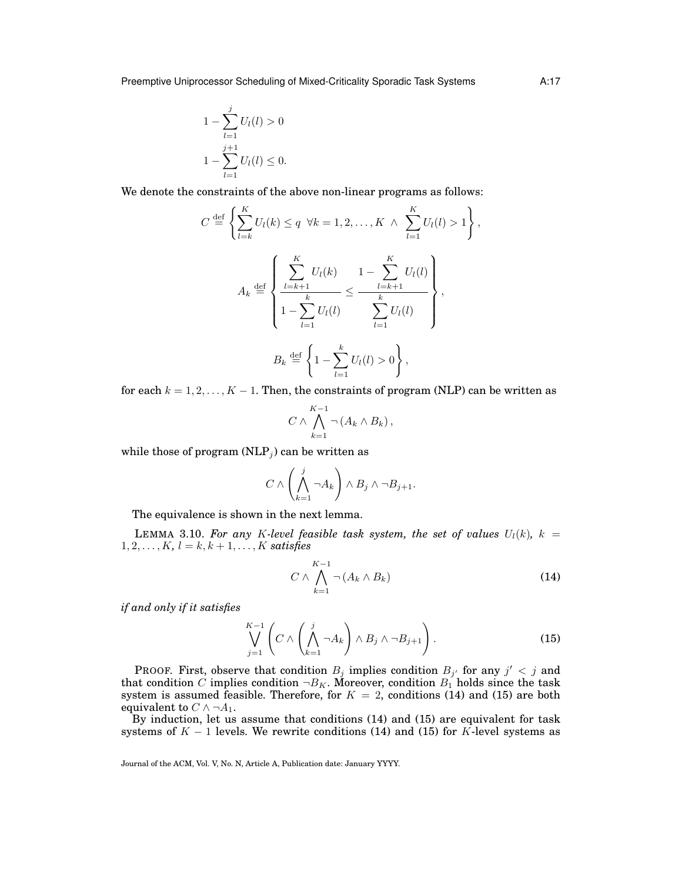Preemptive Uniprocessor Scheduling of Mixed-Criticality Sporadic Task Systems A:17

$$
1 - \sum_{l=1}^{j} U_l(l) > 0
$$
  

$$
1 - \sum_{l=1}^{j+1} U_l(l) \le 0.
$$

We denote the constraints of the above non-linear programs as follows:

$$
C \stackrel{\text{def}}{=} \left\{ \sum_{l=k}^{K} U_{l}(k) \leq q \ \forall k = 1, 2, ..., K \land \sum_{l=1}^{K} U_{l}(l) > 1 \right\},
$$
  

$$
A_{k} \stackrel{\text{def}}{=} \left\{ \frac{\sum_{l=k+1}^{K} U_{l}(k)}{1 - \sum_{l=1}^{k} U_{l}(l)} \leq \frac{\sum_{l=k+1}^{K} U_{l}(l)}{\sum_{l=1}^{k} U_{l}(l)} \right\},
$$
  

$$
B_{k} \stackrel{\text{def}}{=} \left\{ 1 - \sum_{l=1}^{k} U_{l}(l) > 0 \right\},
$$

for each  $k = 1, 2, ..., K - 1$ . Then, the constraints of program (NLP) can be written as

$$
C \wedge \bigwedge_{k=1}^{K-1} \neg (A_k \wedge B_k),
$$

while those of program  $(NLP<sub>j</sub>)$  can be written as

$$
C \wedge \left(\bigwedge_{k=1}^j \neg A_k\right) \wedge B_j \wedge \neg B_{j+1}.
$$

The equivalence is shown in the next lemma.

LEMMA 3.10. For any K-level feasible task system, the set of values  $U_l(k)$ ,  $k =$  $1, 2, \ldots, K, l = k, k + 1, \ldots, K$  *satisfies* 

$$
C \wedge \bigwedge_{k=1}^{K-1} \neg (A_k \wedge B_k)
$$
 (14)

*if and only if it satisfies*

$$
\bigvee_{j=1}^{K-1} \left( C \wedge \left( \bigwedge_{k=1}^{j} \neg A_k \right) \wedge B_j \wedge \neg B_{j+1} \right). \tag{15}
$$

PROOF. First, observe that condition  $B_j$  implies condition  $B_{j'}$  for any  $j' < j$  and that condition C implies condition  $\neg B_K$ . Moreover, condition  $B_1$  holds since the task system is assumed feasible. Therefore, for  $K = 2$ , conditions (14) and (15) are both equivalent to  $C \wedge \neg A_1$ .

By induction, let us assume that conditions (14) and (15) are equivalent for task systems of  $K - 1$  levels. We rewrite conditions (14) and (15) for K-level systems as

Journal of the ACM, Vol. V, No. N, Article A, Publication date: January YYYY.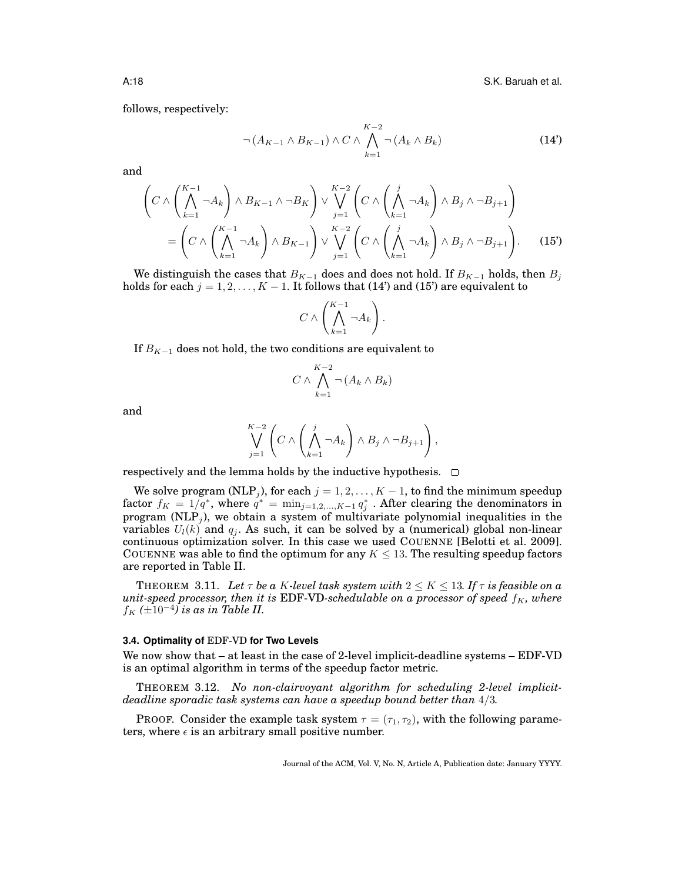A:18 S.K. Baruah et al.

follows, respectively:

$$
\neg (A_{K-1} \land B_{K-1}) \land C \land \bigwedge_{k=1}^{K-2} \neg (A_k \land B_k)
$$
\n(14')

and

$$
\left(C \wedge \left(\bigwedge_{k=1}^{K-1} \neg A_k\right) \wedge B_{K-1} \wedge \neg B_K\right) \vee \bigvee_{j=1}^{K-2} \left(C \wedge \left(\bigwedge_{k=1}^{j} \neg A_k\right) \wedge B_j \wedge \neg B_{j+1}\right)
$$

$$
= \left(C \wedge \left(\bigwedge_{k=1}^{K-1} \neg A_k\right) \wedge B_{K-1}\right) \vee \bigvee_{j=1}^{K-2} \left(C \wedge \left(\bigwedge_{k=1}^{j} \neg A_k\right) \wedge B_j \wedge \neg B_{j+1}\right).
$$
(15')

We distinguish the cases that  $B_{K-1}$  does and does not hold. If  $B_{K-1}$  holds, then  $B_j$ holds for each  $j = 1, 2, ..., K - 1$ . It follows that (14') and (15') are equivalent to

$$
C \wedge \left(\bigwedge_{k=1}^{K-1} \neg A_k\right).
$$

If  $B_{K-1}$  does not hold, the two conditions are equivalent to

$$
C \wedge \bigwedge_{k=1}^{K-2} \neg (A_k \wedge B_k)
$$

and

$$
\bigvee_{j=1}^{K-2} \left( C \wedge \left( \bigwedge_{k=1}^j \neg A_k \right) \wedge B_j \wedge \neg B_{j+1} \right),\right)
$$

respectively and the lemma holds by the inductive hypothesis.  $\Box$ 

We solve program (NLP $_j$ ), for each  $j=1,2,\ldots,K-1,$  to find the minimum speedup factor  $f_K = 1/q^*$ , where  $q^* = \min_{j=1,2,...,K-1} q_j^*$  . After clearing the denominators in program (NLP<sub>j</sub>), we obtain a system of multivariate polynomial inequalities in the variables  $U_l(k)$  and  $q_i$ . As such, it can be solved by a (numerical) global non-linear continuous optimization solver. In this case we used COUENNE [Belotti et al. 2009]. COUENNE was able to find the optimum for any  $K \leq 13$ . The resulting speedup factors are reported in Table II.

**THEOREM** 3.11. Let  $\tau$  be a K-level task system with  $2 \leq K \leq 13$ . If  $\tau$  is feasible on a  $unit\text{-}speed\ processor, then it is \text{EDF-VD-scheduled}label$  on a processor of speed  $f_K$ , where  $f_K$  ( $\pm 10^{-4}$ ) is as in Table II.

#### **3.4. Optimality of** EDF-VD **for Two Levels**

We now show that – at least in the case of 2-level implicit-deadline systems – EDF-VD is an optimal algorithm in terms of the speedup factor metric.

THEOREM 3.12. *No non-clairvoyant algorithm for scheduling 2-level implicitdeadline sporadic task systems can have a speedup bound better than* 4/3*.*

**PROOF.** Consider the example task system  $\tau = (\tau_1, \tau_2)$ , with the following parameters, where  $\epsilon$  is an arbitrary small positive number.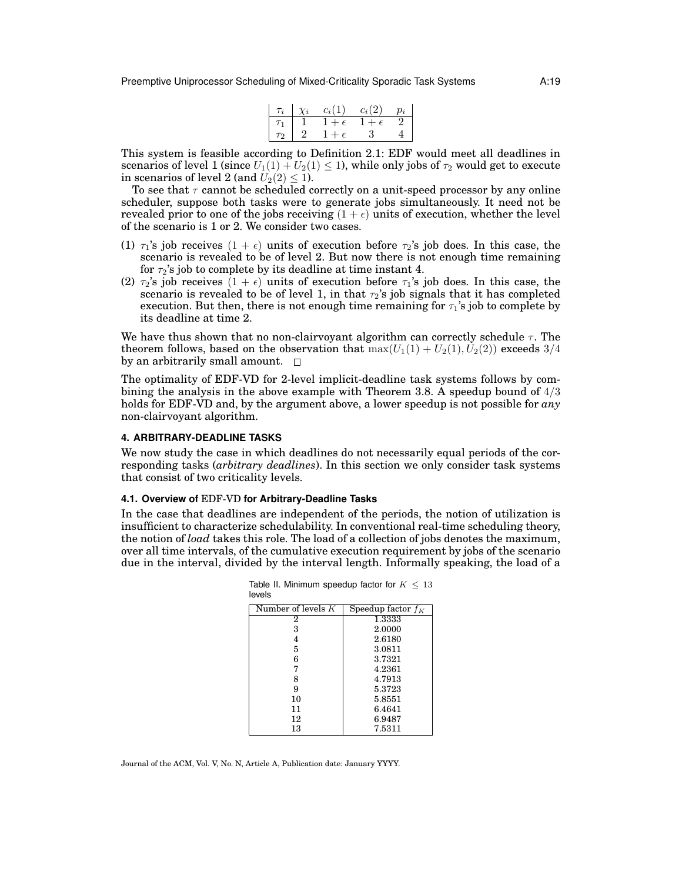Preemptive Uniprocessor Scheduling of Mixed-Criticality Sporadic Task Systems A:19

|          | $\tau_i \mid \chi_i$ | $c_i(1)$     | $c_i(2)$     | $p_i$ |
|----------|----------------------|--------------|--------------|-------|
| $\tau_1$ |                      | $1+\epsilon$ | $1+\epsilon$ |       |
| $\tau_2$ |                      | $1+\epsilon$ | - 3-         |       |

This system is feasible according to Definition 2.1: EDF would meet all deadlines in scenarios of level 1 (since  $U_1(1) + U_2(1) \le 1$ ), while only jobs of  $\tau_2$  would get to execute in scenarios of level 2 (and  $U_2(2) \leq 1$ ).

To see that  $\tau$  cannot be scheduled correctly on a unit-speed processor by any online scheduler, suppose both tasks were to generate jobs simultaneously. It need not be revealed prior to one of the jobs receiving  $(1 + \epsilon)$  units of execution, whether the level of the scenario is 1 or 2. We consider two cases.

- (1)  $\tau_1$ 's job receives  $(1 + \epsilon)$  units of execution before  $\tau_2$ 's job does. In this case, the scenario is revealed to be of level 2. But now there is not enough time remaining for  $\tau_2$ 's job to complete by its deadline at time instant 4.
- (2)  $\tau_2$ 's job receives  $(1 + \epsilon)$  units of execution before  $\tau_1$ 's job does. In this case, the scenario is revealed to be of level 1, in that  $\tau_2$ 's job signals that it has completed execution. But then, there is not enough time remaining for  $\tau_1$ 's job to complete by its deadline at time 2.

We have thus shown that no non-clairvoyant algorithm can correctly schedule  $\tau$ . The theorem follows, based on the observation that  $\max(U_1(1) + U_2(1), U_2(2))$  exceeds 3/4 by an arbitrarily small amount.  $\square$ 

The optimality of EDF-VD for 2-level implicit-deadline task systems follows by combining the analysis in the above example with Theorem 3.8. A speedup bound of  $4/3$ holds for EDF-VD and, by the argument above, a lower speedup is not possible for *any* non-clairvoyant algorithm.

## **4. ARBITRARY-DEADLINE TASKS**

We now study the case in which deadlines do not necessarily equal periods of the corresponding tasks (*arbitrary deadlines*). In this section we only consider task systems that consist of two criticality levels.

#### **4.1. Overview of** EDF-VD **for Arbitrary-Deadline Tasks**

In the case that deadlines are independent of the periods, the notion of utilization is insufficient to characterize schedulability. In conventional real-time scheduling theory, the notion of *load* takes this role. The load of a collection of jobs denotes the maximum, over all time intervals, of the cumulative execution requirement by jobs of the scenario due in the interval, divided by the interval length. Informally speaking, the load of a

| Number of levels $K$ | Speedup factor $f_K$ |
|----------------------|----------------------|
| 2                    | 1.3333               |
| 3                    | 2.0000               |
| 4                    | 2.6180               |
| 5                    | 3.0811               |
| 6                    | 3.7321               |
| 7                    | 4.2361               |
| 8                    | 4.7913               |
| 9                    | 5.3723               |
| 10                   | 5.8551               |
| 11                   | 6.4641               |
| 12                   | 6.9487               |
| 13                   | 7.5311               |

Table II. Minimum speedup factor for  $K < 13$ levels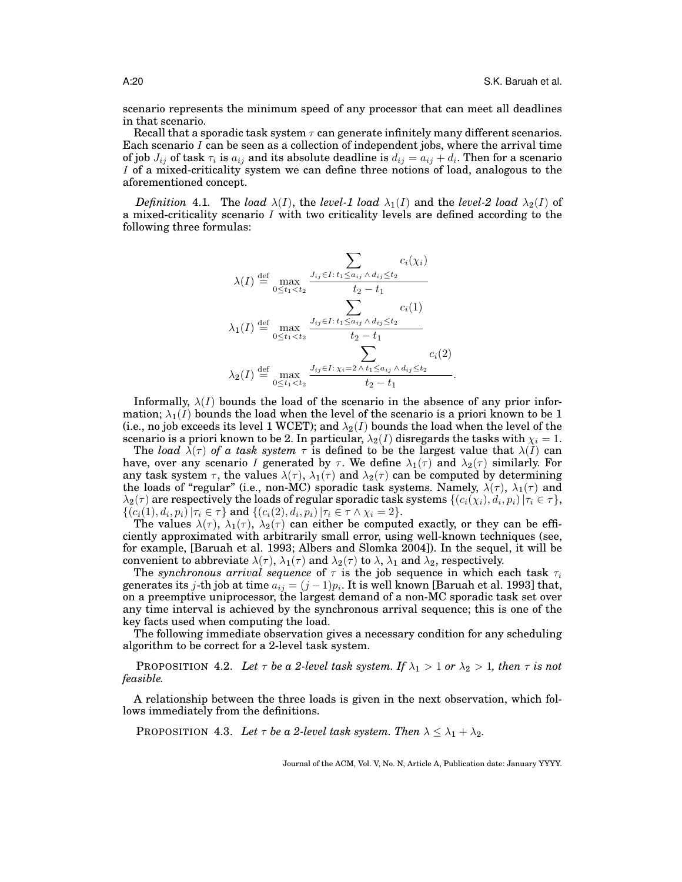scenario represents the minimum speed of any processor that can meet all deadlines in that scenario.

Recall that a sporadic task system  $\tau$  can generate infinitely many different scenarios. Each scenario  $I$  can be seen as a collection of independent jobs, where the arrival time of job  $J_{ij}$  of task  $\tau_i$  is  $a_{ij}$  and its absolute deadline is  $d_{ij}=a_{ij}+d_i.$  Then for a scenario I of a mixed-criticality system we can define three notions of load, analogous to the aforementioned concept.

*Definition* 4.1. The *load*  $\lambda(I)$ , the *level-1 load*  $\lambda_1(I)$  and the *level-2 load*  $\lambda_2(I)$  of a mixed-criticality scenario  $I$  with two criticality levels are defined according to the following three formulas:

$$
\lambda(I) \stackrel{\text{def}}{=} \max_{0 \le t_1 < t_2} \frac{\sum_{J_{ij} \in I : t_1 \le a_{ij} \land d_{ij} \le t_2} c_i(\chi_i)}{t_2 - t_1}
$$
\n
$$
\lambda_1(I) \stackrel{\text{def}}{=} \max_{0 \le t_1 < t_2} \frac{J_{ij} \in I : t_1 \le a_{ij} \land d_{ij} \le t_2}{t_2 - t_1}
$$
\n
$$
\lambda_2(I) \stackrel{\text{def}}{=} \max_{0 \le t_1 < t_2} \frac{J_{ij} \in I : \chi_i = 2 \land t_1 \le a_{ij} \land d_{ij} \le t_2}{t_2 - t_1} c_i(2)
$$

Informally,  $\lambda(I)$  bounds the load of the scenario in the absence of any prior information;  $\lambda_1(I)$  bounds the load when the level of the scenario is a priori known to be 1 (i.e., no job exceeds its level 1 WCET); and  $\lambda_2(I)$  bounds the load when the level of the scenario is a priori known to be 2. In particular,  $\lambda_2(I)$  disregards the tasks with  $\chi_i = 1$ .

The *load*  $\lambda(\tau)$  *of a task system*  $\tau$  is defined to be the largest value that  $\lambda(I)$  can have, over any scenario I generated by  $\tau$ . We define  $\lambda_1(\tau)$  and  $\lambda_2(\tau)$  similarly. For any task system  $\tau$ , the values  $\lambda(\tau)$ ,  $\lambda_1(\tau)$  and  $\lambda_2(\tau)$  can be computed by determining the loads of "regular" (i.e., non-MC) sporadic task systems. Namely,  $\lambda(\tau)$ ,  $\lambda_1(\tau)$  and  $\lambda_2(\tau)$  are respectively the loads of regular sporadic task systems  $\{(c_i(\chi_i),d_i,p_i)\,|\tau_i\in\tau\},$  $\{(c_i(1), d_i, p_i) | \tau_i \in \tau\}$  and  $\{(c_i(2), d_i, p_i) | \tau_i \in \tau \wedge \chi_i = 2\}.$ 

The values  $\lambda(\tau)$ ,  $\lambda_1(\tau)$ ,  $\lambda_2(\tau)$  can either be computed exactly, or they can be efficiently approximated with arbitrarily small error, using well-known techniques (see, for example, [Baruah et al. 1993; Albers and Slomka 2004]). In the sequel, it will be convenient to abbreviate  $\lambda(\tau)$ ,  $\lambda_1(\tau)$  and  $\lambda_2(\tau)$  to  $\lambda$ ,  $\lambda_1$  and  $\lambda_2$ , respectively.

The *synchronous arrival sequence* of  $\tau$  is the job sequence in which each task  $\tau_i$ generates its j-th job at time  $a_{ij} = (j-1)p_i$ . It is well known [Baruah et al. 1993] that, on a preemptive uniprocessor, the largest demand of a non-MC sporadic task set over any time interval is achieved by the synchronous arrival sequence; this is one of the key facts used when computing the load.

The following immediate observation gives a necessary condition for any scheduling algorithm to be correct for a 2-level task system.

**PROPOSITION 4.2.** Let  $\tau$  be a 2-level task system. If  $\lambda_1 > 1$  or  $\lambda_2 > 1$ , then  $\tau$  is not *feasible.*

A relationship between the three loads is given in the next observation, which follows immediately from the definitions.

PROPOSITION 4.3. Let  $\tau$  be a 2-level task system. Then  $\lambda \leq \lambda_1 + \lambda_2$ .

Journal of the ACM, Vol. V, No. N, Article A, Publication date: January YYYY.

.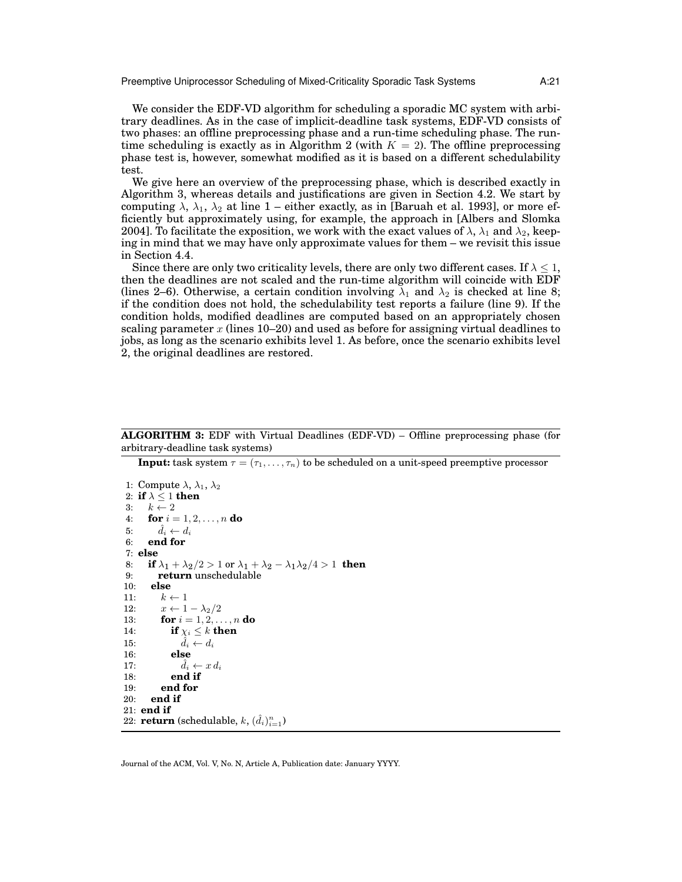Preemptive Uniprocessor Scheduling of Mixed-Criticality Sporadic Task Systems A:21

We consider the EDF-VD algorithm for scheduling a sporadic MC system with arbitrary deadlines. As in the case of implicit-deadline task systems, EDF-VD consists of two phases: an offline preprocessing phase and a run-time scheduling phase. The runtime scheduling is exactly as in Algorithm 2 (with  $K = 2$ ). The offline preprocessing phase test is, however, somewhat modified as it is based on a different schedulability test.

We give here an overview of the preprocessing phase, which is described exactly in Algorithm 3, whereas details and justifications are given in Section 4.2. We start by computing  $\lambda$ ,  $\lambda_1$ ,  $\lambda_2$  at line 1 – either exactly, as in [Baruah et al. 1993], or more efficiently but approximately using, for example, the approach in [Albers and Slomka 2004]. To facilitate the exposition, we work with the exact values of  $\lambda$ ,  $\lambda_1$  and  $\lambda_2$ , keeping in mind that we may have only approximate values for them – we revisit this issue in Section 4.4.

Since there are only two criticality levels, there are only two different cases. If  $\lambda \leq 1$ , then the deadlines are not scaled and the run-time algorithm will coincide with EDF (lines 2–6). Otherwise, a certain condition involving  $\lambda_1$  and  $\lambda_2$  is checked at line 8; if the condition does not hold, the schedulability test reports a failure (line 9). If the condition holds, modified deadlines are computed based on an appropriately chosen scaling parameter x (lines  $10-20$ ) and used as before for assigning virtual deadlines to jobs, as long as the scenario exhibits level 1. As before, once the scenario exhibits level 2, the original deadlines are restored.

**ALGORITHM 3:** EDF with Virtual Deadlines (EDF-VD) – Offline preprocessing phase (for arbitrary-deadline task systems)

**Input:** task system  $\tau = (\tau_1, \ldots, \tau_n)$  to be scheduled on a unit-speed preemptive processor

```
1: Compute \lambda, \lambda_1, \lambda_22: if \lambda \leq 1 then
3: k \leftarrow 24: for i = 1, 2, ..., n do
5: d_i \leftarrow d_i6: end for
7: else
8: if \lambda_1 + \lambda_2/2 > 1 or \lambda_1 + \lambda_2 - \lambda_1 \lambda_2/4 > 1 then<br>9: return unschedulable
         9: return unschedulable
10: else
11: k \leftarrow 112: x \leftarrow 1 - \lambda_2/213: for i = 1, 2, ..., n do
14: if \chi_i \leq k then
15: \hat{d}_i \leftarrow d_i16: else
17: d_i \leftarrow x d_i18: end if
19: end for
20: end if
21: end if
22: \mathbf{return} \ (\text{schedule}, \, k, \, (\hat{d}_i)_{i=1}^n)
```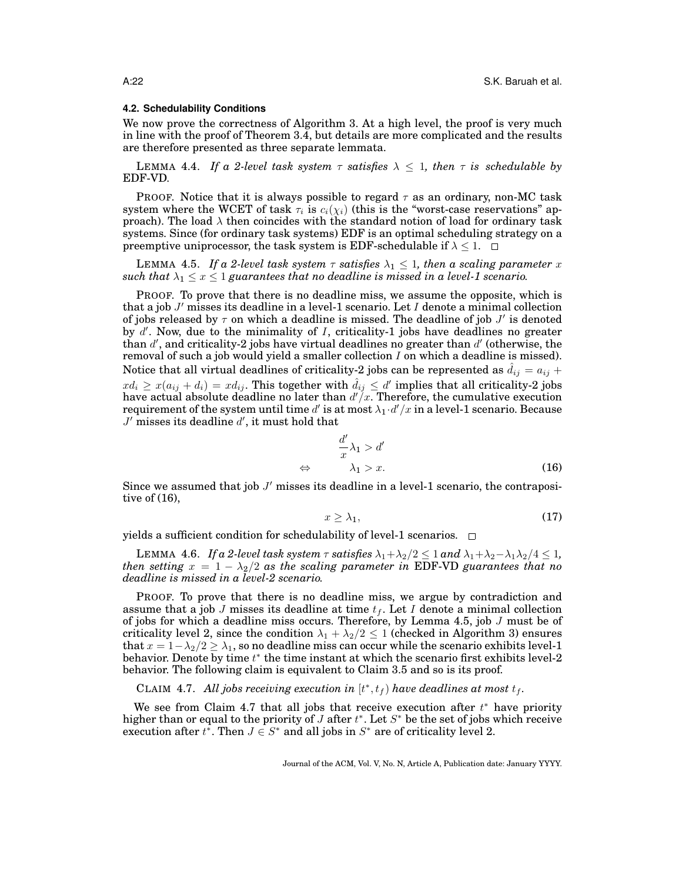## **4.2. Schedulability Conditions**

We now prove the correctness of Algorithm 3. At a high level, the proof is very much in line with the proof of Theorem 3.4, but details are more complicated and the results are therefore presented as three separate lemmata.

**LEMMA 4.4.** *If a 2-level task system*  $\tau$  *satisfies*  $\lambda \leq 1$ *, then*  $\tau$  *is schedulable by* EDF-VD*.*

PROOF. Notice that it is always possible to regard  $\tau$  as an ordinary, non-MC task system where the WCET of task  $\tau_i$  is  $c_i(\chi_i)$  (this is the "worst-case reservations" approach). The load  $\lambda$  then coincides with the standard notion of load for ordinary task systems. Since (for ordinary task systems) EDF is an optimal scheduling strategy on a preemptive uniprocessor, the task system is EDF-schedulable if  $\lambda \leq 1$ .  $\Box$ 

**LEMMA 4.5.** *If a 2-level task system*  $\tau$  *satisfies*  $\lambda_1 \leq 1$ *, then a scaling parameter* x *such that*  $\lambda_1 \leq x \leq 1$  *guarantees that no deadline is missed in a level-1 scenario.* 

PROOF. To prove that there is no deadline miss, we assume the opposite, which is that a job  $J'$  misses its deadline in a level-1 scenario. Let  $I$  denote a minimal collection of jobs released by  $\tau$  on which a deadline is missed. The deadline of job  $J'$  is denoted by d'. Now, due to the minimality of I, criticality-1 jobs have deadlines no greater than  $d'$ , and criticality-2 jobs have virtual deadlines no greater than  $d'$  (otherwise, the removal of such a job would yield a smaller collection  $I$  on which a deadline is missed). Notice that all virtual deadlines of criticality-2 jobs can be represented as  $d_{ij} = a_{ij} + b_{ij}$  $x d_i \geq x (a_{ij} + d_i) = x d_{ij}.$  This together with  $\hat d_{ij} \leq d'$  implies that all criticality-2 jobs have actual absolute deadline no later than  $d'/x$ . Therefore, the cumulative execution requirement of the system until time  $d'$  is at most  $\lambda_1 \!\cdot\! d'/x$  in a level-1 scenario. Because  $J'$  misses its deadline  $d'$ , it must hold that

$$
\frac{d'}{x}\lambda_1 > d'
$$
  
\n
$$
\Leftrightarrow \qquad \lambda_1 > x.
$$
 (16)

Since we assumed that job  $J'$  misses its deadline in a level-1 scenario, the contrapositive of (16),

$$
x \ge \lambda_1,\tag{17}
$$

yields a sufficient condition for schedulability of level-1 scenarios.  $\Box$ 

LEMMA 4.6. *If a 2-level task system*  $\tau$  *satisfies*  $\lambda_1 + \lambda_2/2 \leq 1$  *and*  $\lambda_1 + \lambda_2 - \lambda_1 \lambda_2/4 \leq 1$ , *then setting*  $x = 1 - \lambda_2/2$  *as the scaling parameter in* EDF-VD *guarantees that no deadline is missed in a level-2 scenario.*

PROOF. To prove that there is no deadline miss, we argue by contradiction and assume that a job J misses its deadline at time  $t_f$ . Let I denote a minimal collection of jobs for which a deadline miss occurs. Therefore, by Lemma 4.5, job  $J$  must be of criticality level 2, since the condition  $\lambda_1 + \lambda_2/2 \leq 1$  (checked in Algorithm 3) ensures that  $x = 1 - \lambda_2/2 \ge \lambda_1$ , so no deadline miss can occur while the scenario exhibits level-1 behavior. Denote by time  $t^*$  the time instant at which the scenario first exhibits level-2 behavior. The following claim is equivalent to Claim 3.5 and so is its proof.

CLAIM 4.7. All jobs receiving execution in  $[t^*, t_f)$  have deadlines at most  $t_f$ .

We see from Claim 4.7 that all jobs that receive execution after  $t^*$  have priority higher than or equal to the priority of  $J$  after  $t^*$ . Let  $S^*$  be the set of jobs which receive execution after  $t^*$ . Then  $J \in S^*$  and all jobs in  $S^*$  are of criticality level 2.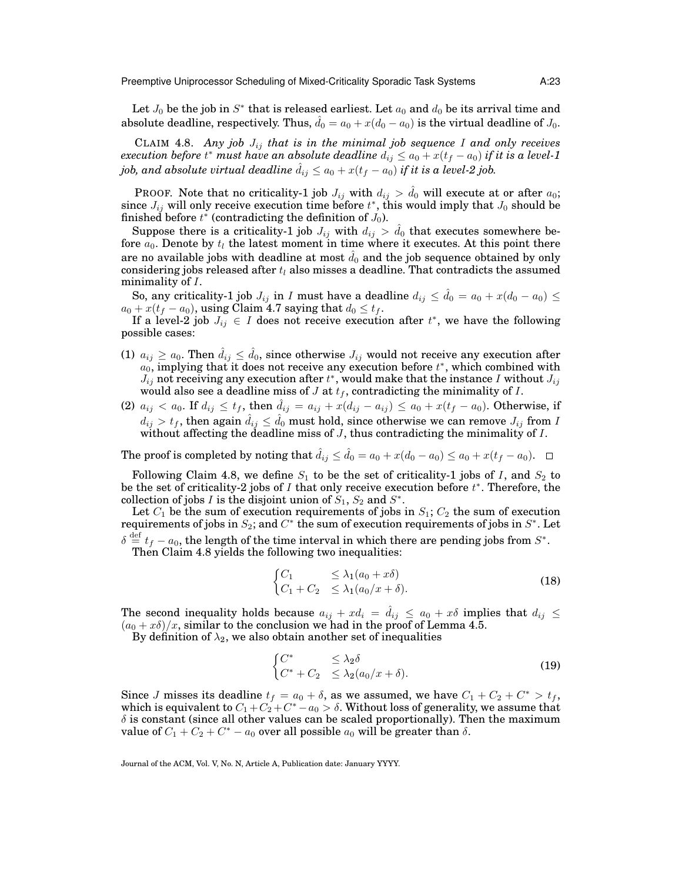Preemptive Uniprocessor Scheduling of Mixed-Criticality Sporadic Task Systems A:23

Let  $J_0$  be the job in  $S^*$  that is released earliest. Let  $a_0$  and  $d_0$  be its arrival time and absolute deadline, respectively. Thus,  $\hat{d}_0 = a_0 + x(d_0 - a_0)$  is the virtual deadline of  $J_0$ .

CLAIM 4.8. *Any job*  $J_{ij}$  *that is in the minimal job sequence* I and only receives  $\emph{execution before $t^*$ must have an absolute deadline $d_{ij} \leq a_0 + x(t_f - a_0)$ if it is a level-1}$ *job, and absolute virtual deadline*  $d_{ij} \leq a_0 + x(t_f - a_0)$  *if it is a level-2 job.* 

PROOF. Note that no criticality-1 job  $J_{ij}$  with  $d_{ij} > \hat{d}_0$  will execute at or after  $a_0$ ; since  $J_{ij}$  will only receive execution time before  $t^*$ , this would imply that  $J_0$  should be finished before  $t^*$  (contradicting the definition of  $J_0$ ).

Suppose there is a criticality-1 job  $J_{ij}$  with  $d_{ij} > \hat{d}_0$  that executes somewhere before  $a_0$ . Denote by  $t_l$  the latest moment in time where it executes. At this point there are no available jobs with deadline at most  $\hat{d}_0$  and the job sequence obtained by only considering jobs released after  $t_l$  also misses a deadline. That contradicts the assumed minimality of I.

So, any criticality-1 job  $J_{ij}$  in I must have a deadline  $d_{ij} \leq \hat{d}_0 = a_0 + x(d_0 - a_0) \leq$  $a_0 + x(t_f - a_0)$ , using Claim 4.7 saying that  $d_0 \le t_f$ .

If a level-2 job  $J_{ij} \in I$  does not receive execution after  $t^*$ , we have the following possible cases:

- (1)  $a_{ij} \ge a_0$ . Then  $\hat{d}_{ij} \le \hat{d}_0$ , since otherwise  $J_{ij}$  would not receive any execution after  $a_0$ , implying that it does not receive any execution before  $t^*$ , which combined with  $J_{ij}$  not receiving any execution after  $t^*$ , would make that the instance I without  $J_{ij}$ would also see a deadline miss of  $J$  at  $t_f$ , contradicting the minimality of  $I$ .
- (2)  $a_{ij} < a_0$ . If  $d_{ij} \le t_f$ , then  $d_{ij} = a_{ij} + x(d_{ij} a_{ij}) \le a_0 + x(t_f a_0)$ . Otherwise, if  $d_{ij} > t_f,$  then again  $\hat{d}_{ij} \leq \hat{d}_0$  must hold, since otherwise we can remove  $J_{ij}$  from  $I$ without affecting the deadline miss of  $J$ , thus contradicting the minimality of  $I$ .

The proof is completed by noting that  $\hat{d}_{ij} \leq \hat{d}_0 = a_0 + x(d_0 - a_0) \leq a_0 + x(t_f - a_0)$ .  $\Box$ 

Following Claim 4.8, we define  $S_1$  to be the set of criticality-1 jobs of I, and  $S_2$  to be the set of criticality-2 jobs of  $I$  that only receive execution before  $t^*$ . Therefore, the collection of jobs I is the disjoint union of  $S_1$ ,  $S_2$  and  $S^*$ .

Let  $C_1$  be the sum of execution requirements of jobs in  $S_1$ ;  $C_2$  the sum of execution requirements of jobs in  $S_2$ ; and  $C^*$  the sum of execution requirements of jobs in  $S^*$ . Let  $\delta \stackrel{\rm def}{=} t_f - a_0,$  the length of the time interval in which there are pending jobs from  $S^*.$ 

Then Claim 4.8 yields the following two inequalities:

$$
\begin{cases} C_1 & \leq \lambda_1(a_0 + x\delta) \\ C_1 + C_2 & \leq \lambda_1(a_0/x + \delta). \end{cases}
$$
 (18)

The second inequality holds because  $a_{ij} + xd_i = d_{ij} \le a_0 + x\delta$  implies that  $d_{ij} \le a_0 + x\delta$  $(a_0 + x\delta)/x$ , similar to the conclusion we had in the proof of Lemma 4.5.

By definition of  $\lambda_2$ , we also obtain another set of inequalities

$$
\begin{cases} C^* & \leq \lambda_2 \delta \\ C^* + C_2 & \leq \lambda_2 (a_0/x + \delta). \end{cases}
$$
 (19)

Since *J* misses its deadline  $t_f = a_0 + \delta$ , as we assumed, we have  $C_1 + C_2 + C^* > t_f$ , which is equivalent to  $C_1+C_2+C^*-a_0>\delta.$  Without loss of generality, we assume that  $\delta$  is constant (since all other values can be scaled proportionally). Then the maximum value of  $C_1 + C_2 + C^* - a_0$  over all possible  $a_0$  will be greater than  $\delta$ .

Journal of the ACM, Vol. V, No. N, Article A, Publication date: January YYYY.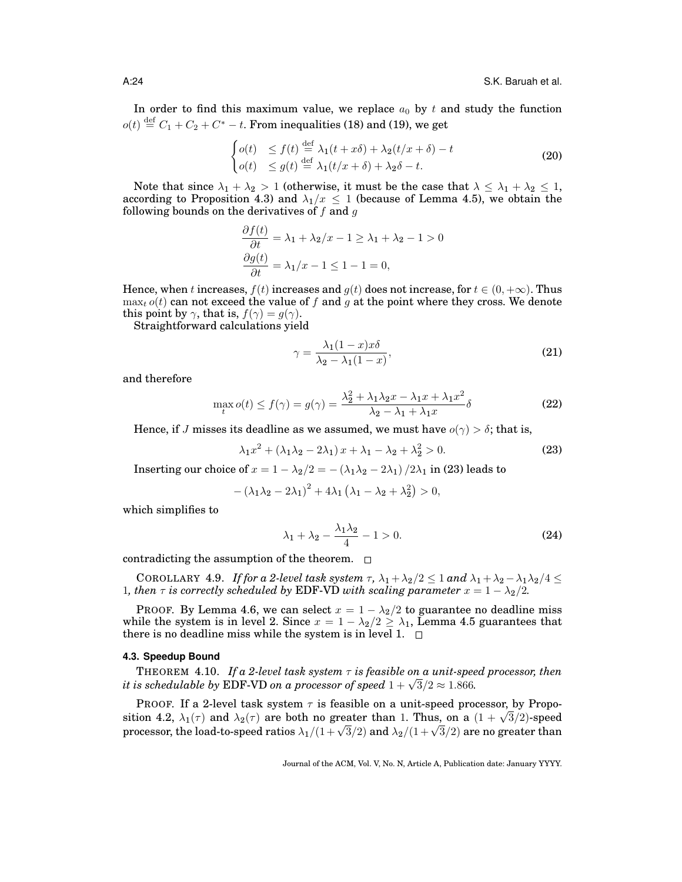In order to find this maximum value, we replace  $a_0$  by t and study the function  $o(t) \stackrel{\text{def}}{=} C_1 + C_2 + C^* - t$ . From inequalities (18) and (19), we get

$$
\begin{cases}\n o(t) & \leq f(t) \stackrel{\text{def}}{=} \lambda_1(t+x\delta) + \lambda_2(t/x+\delta) - t \\
 o(t) & \leq g(t) \stackrel{\text{def}}{=} \lambda_1(t/x+\delta) + \lambda_2\delta - t.\n\end{cases}\n\tag{20}
$$

Note that since  $\lambda_1 + \lambda_2 > 1$  (otherwise, it must be the case that  $\lambda \leq \lambda_1 + \lambda_2 \leq 1$ , according to Proposition 4.3) and  $\lambda_1/x \leq 1$  (because of Lemma 4.5), we obtain the following bounds on the derivatives of  $f$  and  $g$ 

$$
\frac{\partial f(t)}{\partial t} = \lambda_1 + \lambda_2/x - 1 \ge \lambda_1 + \lambda_2 - 1 > 0
$$

$$
\frac{\partial g(t)}{\partial t} = \lambda_1/x - 1 \le 1 - 1 = 0,
$$

Hence, when t increases,  $f(t)$  increases and  $g(t)$  does not increase, for  $t \in (0, +\infty)$ . Thus  $\max_{t} o(t)$  can not exceed the value of f and g at the point where they cross. We denote this point by  $\gamma$ , that is,  $f(\gamma) = g(\gamma)$ .

Straightforward calculations yield

$$
\gamma = \frac{\lambda_1 (1 - x) x \delta}{\lambda_2 - \lambda_1 (1 - x)},\tag{21}
$$

and therefore

$$
\max_{t} o(t) \le f(\gamma) = g(\gamma) = \frac{\lambda_2^2 + \lambda_1 \lambda_2 x - \lambda_1 x + \lambda_1 x^2}{\lambda_2 - \lambda_1 + \lambda_1 x} \delta
$$
\n(22)

Hence, if J misses its deadline as we assumed, we must have  $o(\gamma) > \delta$ ; that is,

$$
\lambda_1 x^2 + \left(\lambda_1 \lambda_2 - 2\lambda_1\right) x + \lambda_1 - \lambda_2 + \lambda_2^2 > 0. \tag{23}
$$

Inserting our choice of  $x = 1 - \lambda_2/2 = -(\lambda_1\lambda_2 - 2\lambda_1)/2\lambda_1$  in (23) leads to

$$
-(\lambda_1\lambda_2-2\lambda_1)^2+4\lambda_1(\lambda_1-\lambda_2+\lambda_2^2)>0,
$$

which simplifies to

$$
\lambda_1 + \lambda_2 - \frac{\lambda_1 \lambda_2}{4} - 1 > 0. \tag{24}
$$

contradicting the assumption of the theorem.  $\Box$ 

COROLLARY 4.9. *If for a 2-level task system*  $\tau$ *,*  $\lambda_1 + \lambda_2/2 \leq 1$  *and*  $\lambda_1 + \lambda_2 - \lambda_1 \lambda_2/4 \leq 1$ 1, then  $\tau$  is correctly scheduled by EDF-VD with scaling parameter  $x = 1 - \lambda_2/2$ .

PROOF. By Lemma 4.6, we can select  $x = 1 - \lambda_2/2$  to guarantee no deadline miss while the system is in level 2. Since  $x = 1 - \lambda_2/2 \ge \lambda_1$ , Lemma 4.5 guarantees that there is no deadline miss while the system is in level 1.  $\Box$ 

## **4.3. Speedup Bound**

**THEOREM** 4.10. *If a 2-level task system*  $\tau$  *is feasible on a unit-speed processor, then i* HEOREM 4.10. *If a 2-level lask system*  $\tau$  *is feasible on a unit-speed*  $i$  *i is schedulable by* EDF-VD *on a processor of speed*  $1 + \sqrt{3}/2 \approx 1.866$ .

PROOF. If a 2-level task system  $\tau$  is feasible on a unit-speed processor, by Propo-**FROOF.** If a 2-level task system  $\tau$  is leasible on a unit-speed processor, by Proposition 4.2,  $\lambda_1(\tau)$  and  $\lambda_2(\tau)$  are both no greater than 1. Thus, on a  $(1 + \sqrt{3}/2)$ -speed strion 4.2,  $\lambda_1(\tau)$  and  $\lambda_2(\tau)$  are both no greater than 1. Thus, on a  $(1 + \sqrt{3}/2)$ -speed<br>processor, the load-to-speed ratios  $\lambda_1/(1+\sqrt{3}/2)$  and  $\lambda_2/(1+\sqrt{3}/2)$  are no greater than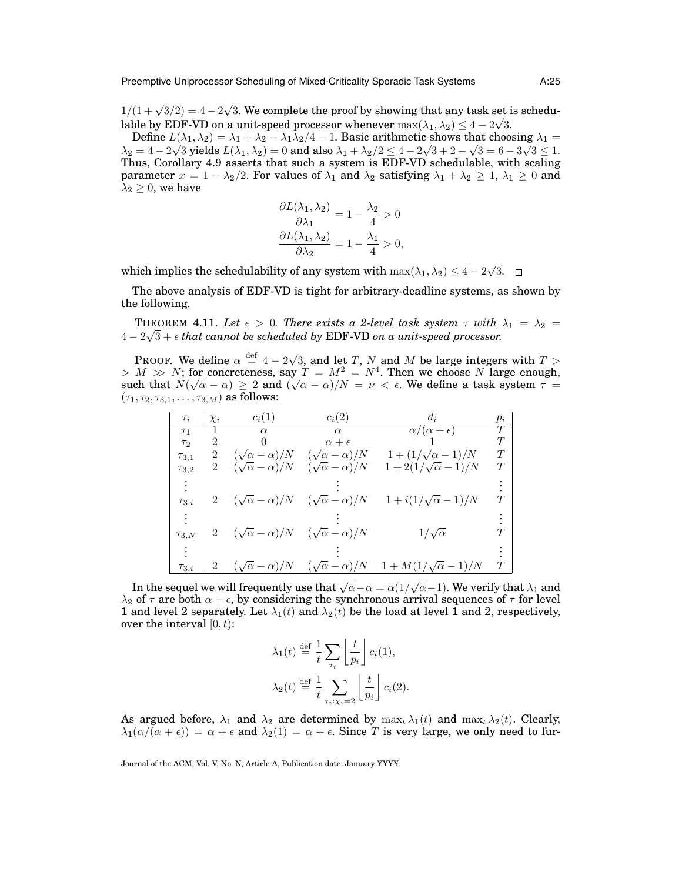$1/(1+\sqrt{3}/2) = 4-2$ √ 3. We complete the proof by showing that any task set is schedulable by EDF-VD on a unit-speed processor whenever  $\max(\lambda_1, \lambda_2) \leq 4 - 2\sqrt{3}$ .

Define  $L(\lambda_1, \lambda_2) = \lambda_1 + \lambda_2 - \lambda_1 \lambda_2/4 - 1$ . Basic arithmetic shows that choosing  $\lambda_1 =$  $\lambda_2=4-2\sqrt{3}$  yields  $L(\lambda_1,\lambda_2)=0$  and also  $\lambda_1+\lambda_2/2\le 4-2\sqrt{3}+2-\sqrt{3}=6-3\sqrt{3}\le 1.$ Thus, Corollary 4.9 asserts that such a system is EDF-VD schedulable, with scaling parameter  $x = 1 - \lambda_2/2$ . For values of  $\lambda_1$  and  $\lambda_2$  satisfying  $\lambda_1 + \lambda_2 \geq 1$ ,  $\lambda_1 \geq 0$  and  $\lambda_2 \geq 0$ , we have

$$
\frac{\partial L(\lambda_1, \lambda_2)}{\partial \lambda_1} = 1 - \frac{\lambda_2}{4} > 0
$$

$$
\frac{\partial L(\lambda_1, \lambda_2)}{\partial \lambda_2} = 1 - \frac{\lambda_1}{4} > 0,
$$

which implies the schedulability of any system with  $\max(\lambda_1, \lambda_2) \leq 4 - 2$ √ 3.

The above analysis of EDF-VD is tight for arbitrary-deadline systems, as shown by the following.

THEOREM 4.11. Let  $\epsilon > 0$ . There exists a 2-level task system  $\tau$  with  $\lambda_1 = \lambda_2 =$ 4 − 2 3 + *that cannot be scheduled by* EDF-VD *on a unit-speed processor.*

PROOF. We define  $\alpha \stackrel{\text{def}}{=} 4 - 2\sqrt{ }$ 3, and let T, N and M be large integers with  $T >$  $> M \gg N$ ; for concreteness, say  $T = M^2 = N^4$ . Then we choose N large enough, such that  $N(\sqrt{\alpha} - \alpha) \geq 2$  and  $(\sqrt{\alpha} - \alpha)/N = \nu < \epsilon$ . We define a task system  $\tau =$  $(\tau_1, \tau_2, \tau_{3,1}, \ldots, \tau_{3,M})$  as follows:

| $\tau_i$     | $\chi_i$       | $c_i(1)$                                                  | $c_i(2)$                     | $d_i$                        | $p_i$ |
|--------------|----------------|-----------------------------------------------------------|------------------------------|------------------------------|-------|
| $\tau_1$     |                | $\alpha$                                                  | $\alpha$                     | $\alpha/(\alpha + \epsilon)$ | T     |
| $\tau_2$     | 2              | $\theta$                                                  | $\alpha + \epsilon$          |                              | T     |
| $\tau_{3.1}$ | 2              | $(\sqrt{\alpha - \alpha})/N$                              | $(\sqrt{\alpha} - \alpha)/N$ | $1+(1/\sqrt{\alpha}-1)/N$    | T     |
| $\tau_{3,2}$ | 2              | $(\sqrt{\alpha} - \alpha)/N$ $(\sqrt{\alpha} - \alpha)/N$ |                              | $1+2(1/\sqrt{\alpha}-1)/N$   | T     |
|              |                |                                                           |                              |                              |       |
| $\tau_{3,i}$ |                | $(\sqrt{\alpha} - \alpha)/N$ $(\sqrt{\alpha} - \alpha)/N$ |                              | $1+i(1/\sqrt{\alpha}-1)/N$   |       |
|              |                |                                                           |                              |                              |       |
| $\tau_{3,N}$ |                | $(\sqrt{\alpha} - \alpha)/N$ $(\sqrt{\alpha} - \alpha)/N$ |                              | $1/\sqrt{\alpha}$            |       |
|              |                |                                                           |                              |                              |       |
| $\tau_{3,i}$ | $\overline{2}$ | $(\sqrt{\alpha}-\alpha)/N$                                | $(\sqrt{\alpha}-\alpha)/N$   | $1+M(1/\sqrt{\alpha}-1)/N$   |       |

In the sequel we will frequently use that  $\sqrt{\alpha} - \alpha = \alpha(1/\sqrt{\alpha} - 1).$  We verify that  $\lambda_1$  and  $\lambda_2$  of  $\tau$  are both  $\alpha + \epsilon$ , by considering the synchronous arrival sequences of  $\tau$  for level 1 and level 2 separately. Let  $\lambda_1(t)$  and  $\lambda_2(t)$  be the load at level 1 and 2, respectively, over the interval  $[0, t)$ :

$$
\lambda_1(t) \stackrel{\text{def}}{=} \frac{1}{t} \sum_{\tau_i} \left\lfloor \frac{t}{p_i} \right\rfloor c_i(1),
$$

$$
\lambda_2(t) \stackrel{\text{def}}{=} \frac{1}{t} \sum_{\tau_i: \chi_i = 2} \left\lfloor \frac{t}{p_i} \right\rfloor c_i(2).
$$

As argued before,  $\lambda_1$  and  $\lambda_2$  are determined by  $\max_t \lambda_1(t)$  and  $\max_t \lambda_2(t)$ . Clearly,  $\lambda_1(\alpha/(\alpha + \epsilon)) = \alpha + \epsilon$  and  $\lambda_2(1) = \alpha + \epsilon$ . Since T is very large, we only need to fur-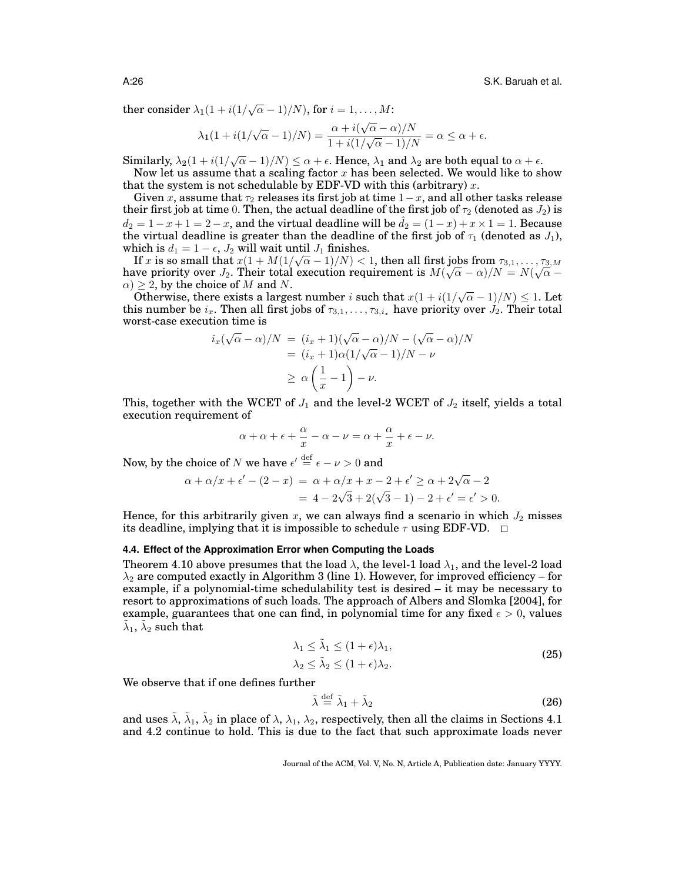ther consider  $\lambda_1(1+i(1/\sqrt{\alpha}-1)/N)$ , for  $i=1,\ldots,M$ :

$$
\lambda_1(1+i(1/\sqrt{\alpha}-1)/N) = \frac{\alpha + i(\sqrt{\alpha}-\alpha)/N}{1+i(1/\sqrt{\alpha}-1)/N} = \alpha \le \alpha + \epsilon.
$$

Similarly,  $\lambda_2(1+i(1/\sqrt{\alpha}-1)/N) \leq \alpha + \epsilon$ . Hence,  $\lambda_1$  and  $\lambda_2$  are both equal to  $\alpha + \epsilon$ .

Now let us assume that a scaling factor  $x$  has been selected. We would like to show that the system is not schedulable by EDF-VD with this (arbitrary)  $x$ .

Given x, assume that  $\tau_2$  releases its first job at time  $1-x$ , and all other tasks release their first job at time 0. Then, the actual deadline of the first job of  $\tau_2$  (denoted as  $J_2$ ) is  $d_2 = 1 - x + 1 = 2 - x$ , and the virtual deadline will be  $\hat{d}_2 = (1 - x) + x \times 1 = 1$ . Because the virtual deadline is greater than the deadline of the first job of  $\tau_1$  (denoted as  $J_1$ ), which is  $d_1 = 1 - \epsilon$ ,  $J_2$  will wait until  $J_1$  finishes.

If  $x$  is so small that  $x(1+M(1/\sqrt{\alpha}-1)/N) < 1,$  then all first jobs from  $\tau_{3,1},\ldots,\tau_{3,M}$ If x is so small that  $x(1 + M(1/\sqrt{\alpha} - 1)/N) < 1$ , then all first jobs from  $\tau_{3,1}, \ldots, \tau_{3,M}$ <br>have priority over  $J_2$ . Their total execution requirement is  $M(\sqrt{\alpha} - \alpha)/N = N(\sqrt{\alpha} \alpha$ )  $\geq$  2, by the choice of M and N.

 $\geq$  2, by the choice of M and N.<br>Otherwise, there exists a largest number i such that  $x(1 + i(1/\sqrt{\alpha} - 1)/N) \leq 1$ . Let this number be  $i_x$ . Then all first jobs of  $\tau_{3,1}, \ldots, \tau_{3,i_x}$  have priority over  $J_2$ . Their total worst-case execution time is

$$
i_x(\sqrt{\alpha} - \alpha)/N = (i_x + 1)(\sqrt{\alpha} - \alpha)/N - (\sqrt{\alpha} - \alpha)/N
$$
  
=  $(i_x + 1)\alpha(1/\sqrt{\alpha} - 1)/N - \nu$   
 $\ge \alpha \left(\frac{1}{x} - 1\right) - \nu.$ 

This, together with the WCET of  $J_1$  and the level-2 WCET of  $J_2$  itself, yields a total execution requirement of

$$
\alpha + \alpha + \epsilon + \frac{\alpha}{x} - \alpha - \nu = \alpha + \frac{\alpha}{x} + \epsilon - \nu.
$$

Now, by the choice of  $N$  we have  $\epsilon' \stackrel{\rm def}{=} \epsilon - \nu > 0$  and

$$
\alpha + \alpha/x + \epsilon' - (2 - x) = \alpha + \alpha/x + x - 2 + \epsilon' \ge \alpha + 2\sqrt{\alpha} - 2
$$
  
= 4 - 2\sqrt{3} + 2(\sqrt{3} - 1) - 2 + \epsilon' = \epsilon' > 0.

Hence, for this arbitrarily given x, we can always find a scenario in which  $J_2$  misses its deadline, implying that it is impossible to schedule  $\tau$  using EDF-VD.  $\Box$ 

#### **4.4. Effect of the Approximation Error when Computing the Loads**

Theorem 4.10 above presumes that the load  $\lambda$ , the level-1 load  $\lambda_1$ , and the level-2 load  $\lambda_2$  are computed exactly in Algorithm 3 (line 1). However, for improved efficiency – for example, if a polynomial-time schedulability test is desired – it may be necessary to resort to approximations of such loads. The approach of Albers and Slomka [2004], for example, guarantees that one can find, in polynomial time for any fixed  $\epsilon > 0$ , values  $\tilde{\lambda}_1$ ,  $\tilde{\lambda}_2$  such that

$$
\lambda_1 \le \tilde{\lambda}_1 \le (1 + \epsilon)\lambda_1,
$$
  
\n
$$
\lambda_2 \le \tilde{\lambda}_2 \le (1 + \epsilon)\lambda_2.
$$
\n(25)

We observe that if one defines further

$$
\tilde{\lambda} \stackrel{\text{def}}{=} \tilde{\lambda}_1 + \tilde{\lambda}_2 \tag{26}
$$

and uses  $\tilde\lambda, \tilde\lambda_1, \tilde\lambda_2$  in place of  $\lambda, \lambda_1, \lambda_2,$  respectively, then all the claims in Sections 4.1 and 4.2 continue to hold. This is due to the fact that such approximate loads never

Journal of the ACM, Vol. V, No. N, Article A, Publication date: January YYYY.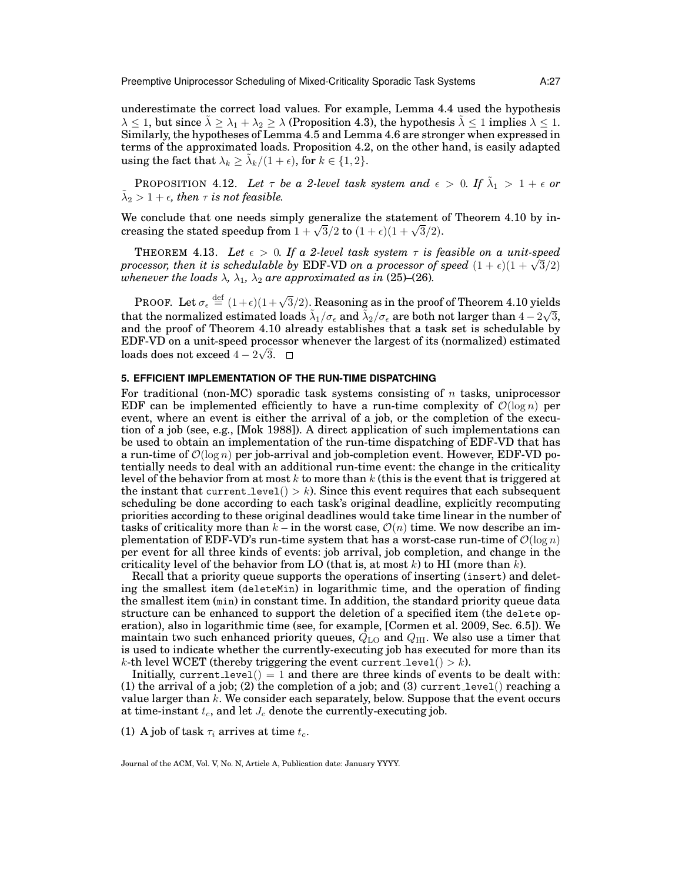Preemptive Uniprocessor Scheduling of Mixed-Criticality Sporadic Task Systems A:27

underestimate the correct load values. For example, Lemma 4.4 used the hypothesis  $\lambda \leq 1$ , but since  $\lambda \geq \lambda_1 + \lambda_2 \geq \lambda$  (Proposition 4.3), the hypothesis  $\lambda \leq 1$  implies  $\lambda \leq 1$ . Similarly, the hypotheses of Lemma 4.5 and Lemma 4.6 are stronger when expressed in terms of the approximated loads. Proposition 4.2, on the other hand, is easily adapted using the fact that  $\lambda_k \geq \tilde{\lambda}_k/(1+\epsilon)$ , for  $k \in \{1,2\}$ .

PROPOSITION 4.12. Let  $\tau$  be a 2-level task system and  $\epsilon > 0$ . If  $\tilde{\lambda}_1 > 1 + \epsilon$  or  $\tilde{\lambda}_2 > 1 + \epsilon$ , then  $\tau$  is not feasible.

We conclude that one needs simply generalize the statement of Theorem 4.10 by inwe conclude that one needs simply generalize the statement of creasing the stated speedup from  $1 + \sqrt{3}/2$  to  $(1 + \epsilon)(1 + \sqrt{3}/2)$ .

THEOREM 4.13. Let  $\epsilon > 0$ . If a 2-level task system  $\tau$  is feasible on a unit-speed **processor, then it is schedulable by EDF-VD** on a processor of speed  $(1 + \epsilon)(1 + \sqrt{3}/2)$ *whenever the loads*  $\lambda$ ,  $\lambda_1$ ,  $\lambda_2$  *are approximated as in* (25)–(26)*.* 

PROOF. Let  $\sigma_\epsilon \stackrel{{\rm def}}{=} (1+\epsilon)(1+\sqrt{3}/2).$  Reasoning as in the proof of Theorem 4.10 yields that the normalized estimated loads  $\tilde{\lambda}_1/\sigma_\epsilon$  and  $\tilde{\lambda}_2/\sigma_\epsilon$  are both not larger than  $4-2$ √ 3, and the proof of Theorem 4.10 already establishes that a task set is schedulable by EDF-VD on a unit-speed processor whenever the largest of its (normalized) estimated √ loads does not exceed 4 – 2 $\sqrt{3}$ .

# **5. EFFICIENT IMPLEMENTATION OF THE RUN-TIME DISPATCHING**

For traditional (non-MC) sporadic task systems consisting of n tasks, uniprocessor EDF can be implemented efficiently to have a run-time complexity of  $\mathcal{O}(\log n)$  per event, where an event is either the arrival of a job, or the completion of the execution of a job (see, e.g., [Mok 1988]). A direct application of such implementations can be used to obtain an implementation of the run-time dispatching of EDF-VD that has a run-time of  $\mathcal{O}(\log n)$  per job-arrival and job-completion event. However, EDF-VD potentially needs to deal with an additional run-time event: the change in the criticality level of the behavior from at most k to more than k (this is the event that is triggered at the instant that current level()  $> k$ ). Since this event requires that each subsequent scheduling be done according to each task's original deadline, explicitly recomputing priorities according to these original deadlines would take time linear in the number of tasks of criticality more than  $k -$  in the worst case,  $\mathcal{O}(n)$  time. We now describe an implementation of EDF-VD's run-time system that has a worst-case run-time of  $\mathcal{O}(\log n)$ per event for all three kinds of events: job arrival, job completion, and change in the criticality level of the behavior from LO (that is, at most k) to HI (more than k).

Recall that a priority queue supports the operations of inserting (insert) and deleting the smallest item (deleteMin) in logarithmic time, and the operation of finding the smallest item (min) in constant time. In addition, the standard priority queue data structure can be enhanced to support the deletion of a specified item (the delete operation), also in logarithmic time (see, for example, [Cormen et al. 2009, Sec. 6.5]). We maintain two such enhanced priority queues,  $Q_{\text{LO}}$  and  $Q_{\text{HI}}$ . We also use a timer that is used to indicate whether the currently-executing job has executed for more than its k-th level WCET (thereby triggering the event current level()  $> k$ ).

Initially, current level() = 1 and there are three kinds of events to be dealt with: (1) the arrival of a job; (2) the completion of a job; and (3) current level() reaching a value larger than  $k$ . We consider each separately, below. Suppose that the event occurs at time-instant  $t_c$ , and let  $J_c$  denote the currently-executing job.

(1) A job of task  $\tau_i$  arrives at time  $t_c$ .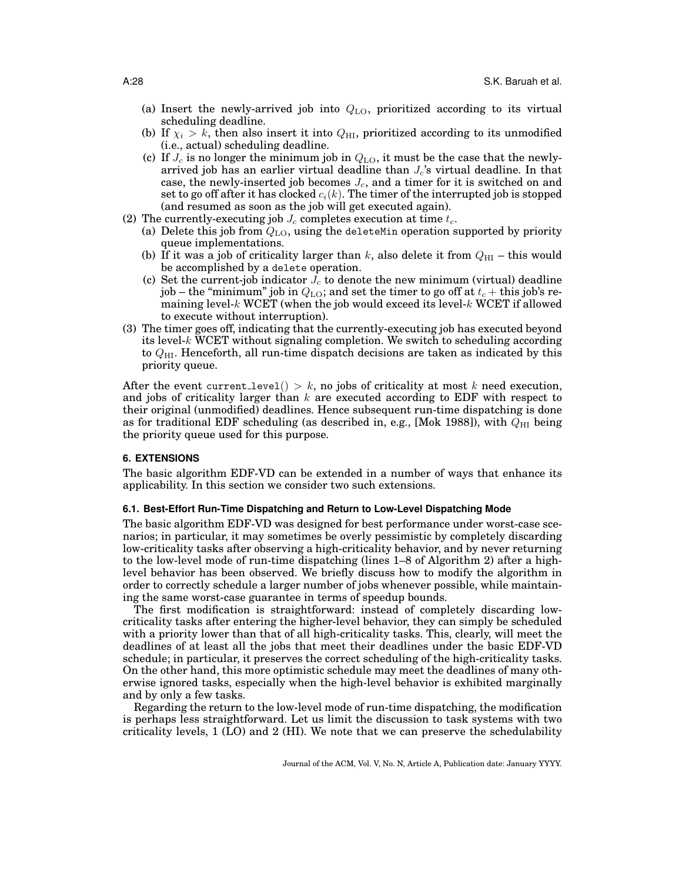- (a) Insert the newly-arrived job into  $Q_{\text{LO}}$ , prioritized according to its virtual scheduling deadline.
- (b) If  $\chi_i > k$ , then also insert it into  $Q_{\rm HI}$ , prioritized according to its unmodified (i.e., actual) scheduling deadline.
- (c) If  $J_c$  is no longer the minimum job in  $Q_{\text{LO}}$ , it must be the case that the newlyarrived job has an earlier virtual deadline than  $J_c$ 's virtual deadline. In that case, the newly-inserted job becomes  $J_c$ , and a timer for it is switched on and set to go off after it has clocked  $c_i(k)$ . The timer of the interrupted job is stopped (and resumed as soon as the job will get executed again).
- (2) The currently-executing job  $J_c$  completes execution at time  $t_c$ .
	- (a) Delete this job from  $Q_{\text{LO}}$ , using the deleteMin operation supported by priority queue implementations.
	- (b) If it was a job of criticality larger than k, also delete it from  $Q_{\text{HI}}$  this would be accomplished by a delete operation.
	- (c) Set the current-job indicator  $J_c$  to denote the new minimum (virtual) deadline job – the "minimum" job in  $Q_{\text{LO}}$ ; and set the timer to go off at  $t_c$  + this job's remaining level-k WCET (when the job would exceed its level-k WCET if allowed to execute without interruption).
- (3) The timer goes off, indicating that the currently-executing job has executed beyond its level- $k$  WCET without signaling completion. We switch to scheduling according to  $Q_{\text{HI}}$ . Henceforth, all run-time dispatch decisions are taken as indicated by this priority queue.

After the event current level()  $> k$ , no jobs of criticality at most k need execution, and jobs of criticality larger than  $k$  are executed according to EDF with respect to their original (unmodified) deadlines. Hence subsequent run-time dispatching is done as for traditional EDF scheduling (as described in, e.g., [Mok 1988]), with  $Q_{\text{HI}}$  being the priority queue used for this purpose.

## **6. EXTENSIONS**

The basic algorithm EDF-VD can be extended in a number of ways that enhance its applicability. In this section we consider two such extensions.

## **6.1. Best-Effort Run-Time Dispatching and Return to Low-Level Dispatching Mode**

The basic algorithm EDF-VD was designed for best performance under worst-case scenarios; in particular, it may sometimes be overly pessimistic by completely discarding low-criticality tasks after observing a high-criticality behavior, and by never returning to the low-level mode of run-time dispatching (lines 1–8 of Algorithm 2) after a highlevel behavior has been observed. We briefly discuss how to modify the algorithm in order to correctly schedule a larger number of jobs whenever possible, while maintaining the same worst-case guarantee in terms of speedup bounds.

The first modification is straightforward: instead of completely discarding lowcriticality tasks after entering the higher-level behavior, they can simply be scheduled with a priority lower than that of all high-criticality tasks. This, clearly, will meet the deadlines of at least all the jobs that meet their deadlines under the basic EDF-VD schedule; in particular, it preserves the correct scheduling of the high-criticality tasks. On the other hand, this more optimistic schedule may meet the deadlines of many otherwise ignored tasks, especially when the high-level behavior is exhibited marginally and by only a few tasks.

Regarding the return to the low-level mode of run-time dispatching, the modification is perhaps less straightforward. Let us limit the discussion to task systems with two criticality levels, 1 (LO) and 2 (HI). We note that we can preserve the schedulability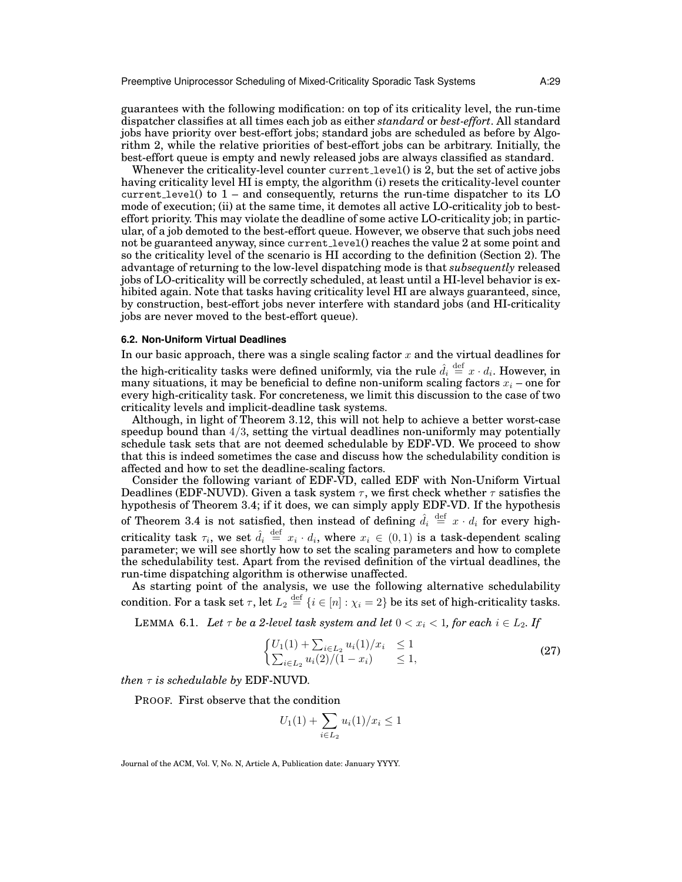Preemptive Uniprocessor Scheduling of Mixed-Criticality Sporadic Task Systems A:29

guarantees with the following modification: on top of its criticality level, the run-time dispatcher classifies at all times each job as either *standard* or *best-effort*. All standard jobs have priority over best-effort jobs; standard jobs are scheduled as before by Algorithm 2, while the relative priorities of best-effort jobs can be arbitrary. Initially, the best-effort queue is empty and newly released jobs are always classified as standard.

Whenever the criticality-level counter current level() is 2, but the set of active jobs having criticality level HI is empty, the algorithm (i) resets the criticality-level counter current level() to 1 – and consequently, returns the run-time dispatcher to its LO mode of execution; (ii) at the same time, it demotes all active LO-criticality job to besteffort priority. This may violate the deadline of some active LO-criticality job; in particular, of a job demoted to the best-effort queue. However, we observe that such jobs need not be guaranteed anyway, since current level() reaches the value 2 at some point and so the criticality level of the scenario is HI according to the definition (Section 2). The advantage of returning to the low-level dispatching mode is that *subsequently* released jobs of LO-criticality will be correctly scheduled, at least until a HI-level behavior is exhibited again. Note that tasks having criticality level HI are always guaranteed, since, by construction, best-effort jobs never interfere with standard jobs (and HI-criticality jobs are never moved to the best-effort queue).

## **6.2. Non-Uniform Virtual Deadlines**

In our basic approach, there was a single scaling factor  $x$  and the virtual deadlines for the high-criticality tasks were defined uniformly, via the rule  $\hat{d}_i \stackrel{\text{def}}{=} x \cdot d_i.$  However, in many situations, it may be beneficial to define non-uniform scaling factors  $x_i$  – one for every high-criticality task. For concreteness, we limit this discussion to the case of two criticality levels and implicit-deadline task systems.

Although, in light of Theorem 3.12, this will not help to achieve a better worst-case speedup bound than  $4/3$ , setting the virtual deadlines non-uniformly may potentially schedule task sets that are not deemed schedulable by EDF-VD. We proceed to show that this is indeed sometimes the case and discuss how the schedulability condition is affected and how to set the deadline-scaling factors.

Consider the following variant of EDF-VD, called EDF with Non-Uniform Virtual Deadlines (EDF-NUVD). Given a task system  $\tau$ , we first check whether  $\tau$  satisfies the hypothesis of Theorem 3.4; if it does, we can simply apply EDF-VD. If the hypothesis of Theorem 3.4 is not satisfied, then instead of defining  $\hat{d}_i \stackrel{\text{def}}{=} x \cdot d_i$  for every highcriticality task  $\tau_i$ , we set  $\hat{d}_i \stackrel{\text{def}}{=} x_i \cdot d_i$ , where  $x_i \in (0,1)$  is a task-dependent scaling parameter; we will see shortly how to set the scaling parameters and how to complete the schedulability test. Apart from the revised definition of the virtual deadlines, the run-time dispatching algorithm is otherwise unaffected.

As starting point of the analysis, we use the following alternative schedulability condition. For a task set  $\tau,$  let  $L_2\stackrel{\rm def}{=}\{i\in [n]: \chi_i=2\}$  be its set of high-criticality tasks.

LEMMA 6.1. *Let*  $\tau$  *be a 2-level task system and let*  $0 < x_i < 1$ *, for each*  $i \in L_2$ *. If* 

$$
\begin{cases} U_1(1) + \sum_{i \in L_2} u_i(1)/x_i \le 1 \\ \sum_{i \in L_2} u_i(2)/(1-x_i) \le 1, \end{cases}
$$
\n(27)

*then* τ *is schedulable by* EDF-NUVD*.*

PROOF. First observe that the condition

$$
U_1(1) + \sum_{i \in L_2} u_i(1)/x_i \le 1
$$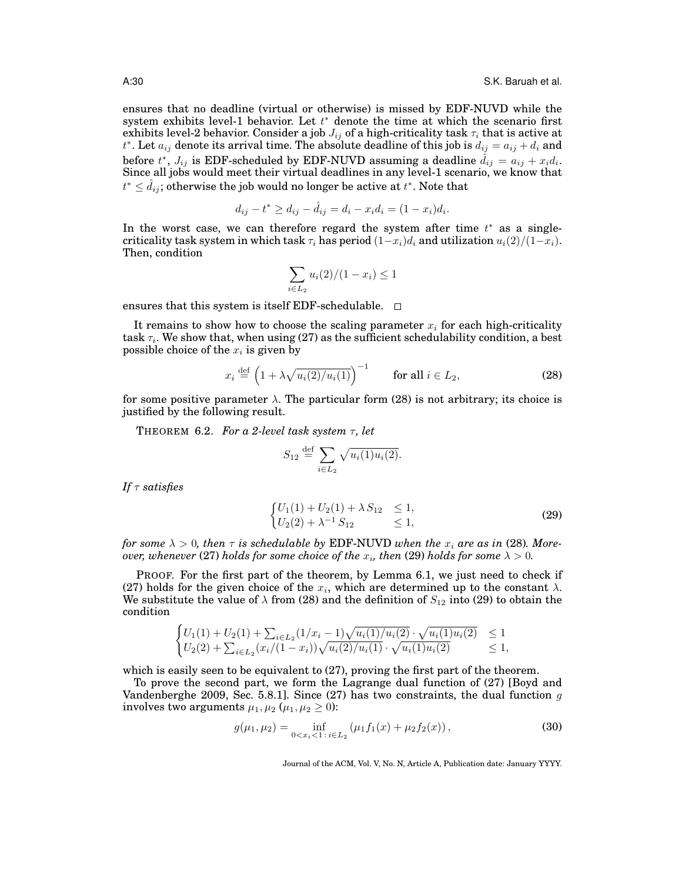ensures that no deadline (virtual or otherwise) is missed by EDF-NUVD while the system exhibits level-1 behavior. Let  $t^*$  denote the time at which the scenario first exhibits level-2 behavior. Consider a job  $J_{ij}$  of a high-criticality task  $\tau_i$  that is active at  $t^*$ . Let  $a_{ij}$  denote its arrival time. The absolute deadline of this job is  $d_{ij} = a_{ij} + d_i$  and before  $t^*$ ,  $J_{ij}$  is EDF-scheduled by EDF-NUVD assuming a deadline  $\hat{d}_{ij} = a_{ij} + x_i d_i.$ Since all jobs would meet their virtual deadlines in any level-1 scenario, we know that  $t^* \leq \hat{d}_{ij}$ ; otherwise the job would no longer be active at  $t^*$ . Note that

$$
d_{ij} - t^* \ge d_{ij} - \hat{d}_{ij} = d_i - x_i d_i = (1 - x_i) d_i.
$$

In the worst case, we can therefore regard the system after time  $t^*$  as a singlecriticality task system in which task  $\tau_i$  has period  $(1-x_i)d_i$  and utilization  $u_i(2)/(1-x_i)$ . Then, condition

$$
\sum_{i \in L_2} u_i(2) / (1 - x_i) \le 1
$$

ensures that this system is itself EDF-schedulable.  $\Box$ 

It remains to show how to choose the scaling parameter  $x_i$  for each high-criticality  $\text{task } \tau_i.$  We show that, when using (27) as the sufficient schedulability condition, a best possible choice of the  $x_i$  is given by

$$
x_i \stackrel{\text{def}}{=} \left(1 + \lambda \sqrt{u_i(2)/u_i(1)}\right)^{-1} \qquad \text{for all } i \in L_2,
$$
 (28)

for some positive parameter  $\lambda$ . The particular form (28) is not arbitrary; its choice is justified by the following result.

THEOREM 6.2. *For a 2-level task system*  $\tau$ *, let* 

$$
S_{12} \stackrel{\text{def}}{=} \sum_{i \in L_2} \sqrt{u_i(1)u_i(2)}.
$$

*If* τ *satisfies*

$$
\begin{cases} U_1(1) + U_2(1) + \lambda S_{12} \le 1, \\ U_2(2) + \lambda^{-1} S_{12} \le 1, \end{cases}
$$
 (29)

*for some*  $\lambda > 0$ , then  $\tau$  *is schedulable by* EDF-NUVD *when the*  $x_i$  *are as in* (28)*. More-* $\emph{over, whenever} \ (27) \ holds \ for \ some \ choice \ of \ the \ x_i, \ then \ (29) \ holds \ for \ some \ \lambda > 0.$ 

PROOF. For the first part of the theorem, by Lemma 6.1, we just need to check if (27) holds for the given choice of the  $x_i$ , which are determined up to the constant  $\lambda$ . We substitute the value of  $\lambda$  from (28) and the definition of  $S_{12}$  into (29) to obtain the condition

$$
\begin{cases}\nU_1(1) + U_2(1) + \sum_{i \in L_2} (1/x_i - 1) \sqrt{u_i(1)/u_i(2)} \cdot \sqrt{u_i(1)u_i(2)} & \le 1 \\
U_2(2) + \sum_{i \in L_2} (x_i/(1-x_i)) \sqrt{u_i(2)/u_i(1)} \cdot \sqrt{u_i(1)u_i(2)} & \le 1,\n\end{cases}
$$

which is easily seen to be equivalent to (27), proving the first part of the theorem.

To prove the second part, we form the Lagrange dual function of (27) [Boyd and Vandenberghe 2009, Sec. 5.8.1]. Since (27) has two constraints, the dual function  $g$ involves two arguments  $\mu_1, \mu_2$  ( $\mu_1, \mu_2 \geq 0$ ):

$$
g(\mu_1, \mu_2) = \inf_{0 < x_i < 1 \, : \, i \in L_2} \left( \mu_1 f_1(x) + \mu_2 f_2(x) \right),\tag{30}
$$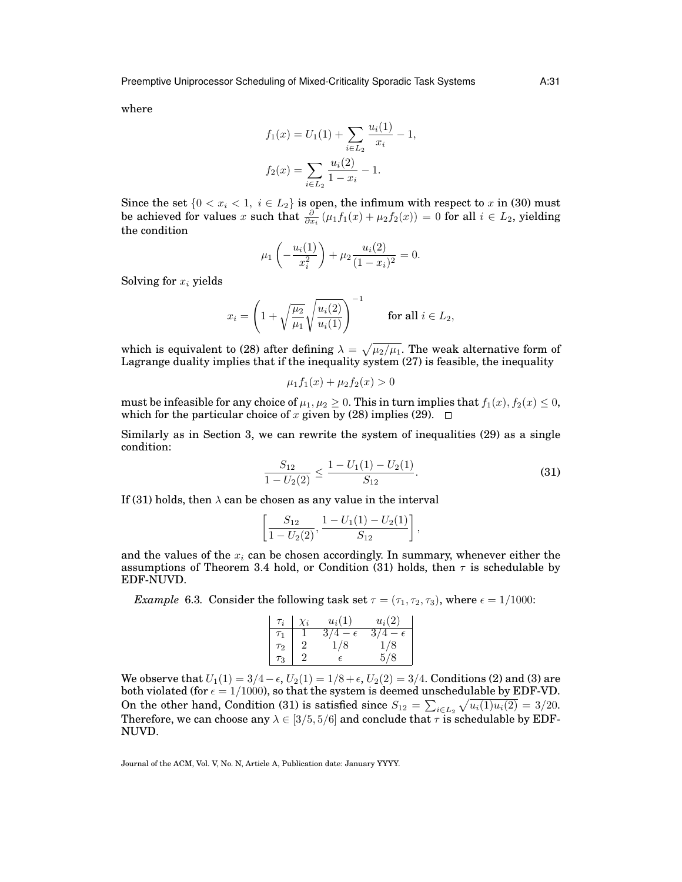where

$$
f_1(x) = U_1(1) + \sum_{i \in L_2} \frac{u_i(1)}{x_i} - 1,
$$
  

$$
f_2(x) = \sum_{i \in L_2} \frac{u_i(2)}{1 - x_i} - 1.
$$

 $\mathcal{L}_{\mathbf{1}}$ 

Since the set  $\{0 < x_i < 1, i \in L_2\}$  is open, the infimum with respect to x in (30) must be achieved for values x such that  $\frac{\partial}{\partial x_i}(\mu_1 f_1(x) + \mu_2 f_2(x)) = 0$  for all  $i \in L_2$ , yielding the condition

$$
\mu_1\left(-\frac{u_i(1)}{x_i^2}\right) + \mu_2 \frac{u_i(2)}{(1-x_i)^2} = 0.
$$

Solving for  $x_i$  yields

$$
x_i = \left(1 + \sqrt{\frac{\mu_2}{\mu_1}} \sqrt{\frac{u_i(2)}{u_i(1)}}\right)^{-1} \quad \text{for all } i \in L_2,
$$

which is equivalent to (28) after defining  $\lambda = \sqrt{\mu_2/\mu_1}$ . The weak alternative form of Lagrange duality implies that if the inequality system (27) is feasible, the inequality

$$
\mu_1 f_1(x) + \mu_2 f_2(x) > 0
$$

must be infeasible for any choice of  $\mu_1, \mu_2 \geq 0$ . This in turn implies that  $f_1(x), f_2(x) \leq 0$ , which for the particular choice of x given by (28) implies (29).  $\Box$ 

Similarly as in Section 3, we can rewrite the system of inequalities (29) as a single condition:

$$
\frac{S_{12}}{1 - U_2(2)} \le \frac{1 - U_1(1) - U_2(1)}{S_{12}}.
$$
\n(31)

If (31) holds, then  $\lambda$  can be chosen as any value in the interval

$$
\left[\frac{S_{12}}{1-U_2(2)}, \frac{1-U_1(1)-U_2(1)}{S_{12}}\right],
$$

and the values of the  $x_i$  can be chosen accordingly. In summary, whenever either the assumptions of Theorem 3.4 hold, or Condition (31) holds, then  $\tau$  is schedulable by EDF-NUVD.

*Example* 6.3. Consider the following task set  $\tau = (\tau_1, \tau_2, \tau_3)$ , where  $\epsilon = 1/1000$ :

| $\tau_i$ | $\chi_i$ | $u_i(1)$          | $u_i(2)$         |
|----------|----------|-------------------|------------------|
| $\tau_1$ |          | 3/4<br>$\epsilon$ | 3/<br>$\epsilon$ |
| $\tau_2$ |          | 1/8               | 1/8              |
| $\tau_3$ |          |                   | 5/8              |

We observe that  $U_1(1) = 3/4 - \epsilon$ ,  $U_2(1) = 1/8 + \epsilon$ ,  $U_2(2) = 3/4$ . Conditions (2) and (3) are both violated (for  $\epsilon = 1/1000$ ), so that the system is deemed unschedulable by EDF-VD. On the other hand, Condition (31) is satisfied since  $S_{12} = \sum_{i \in L_2} \sqrt{u_i(1)u_i(2)} = 3/20$ . Therefore, we can choose any  $\lambda \in [3/5, 5/6]$  and conclude that  $\tau$  is schedulable by EDF-NUVD.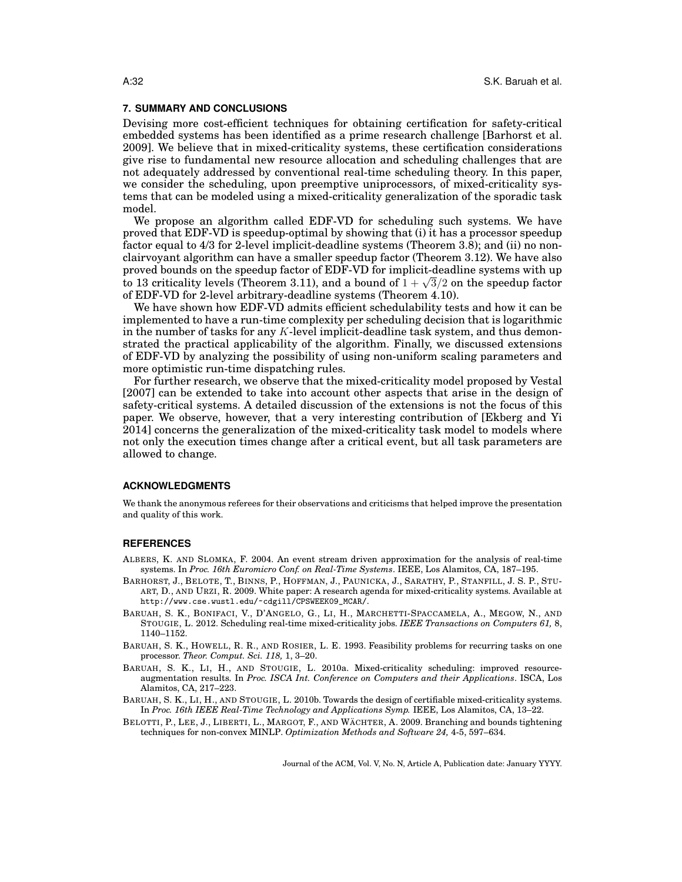## **7. SUMMARY AND CONCLUSIONS**

Devising more cost-efficient techniques for obtaining certification for safety-critical embedded systems has been identified as a prime research challenge [Barhorst et al. 2009]. We believe that in mixed-criticality systems, these certification considerations give rise to fundamental new resource allocation and scheduling challenges that are not adequately addressed by conventional real-time scheduling theory. In this paper, we consider the scheduling, upon preemptive uniprocessors, of mixed-criticality systems that can be modeled using a mixed-criticality generalization of the sporadic task model.

We propose an algorithm called EDF-VD for scheduling such systems. We have proved that EDF-VD is speedup-optimal by showing that (i) it has a processor speedup factor equal to 4/3 for 2-level implicit-deadline systems (Theorem 3.8); and (ii) no nonclairvoyant algorithm can have a smaller speedup factor (Theorem 3.12). We have also proved bounds on the speedup factor of EDF-VD for implicit-deadline systems with up proved bounds on the speedup factor of EDF-VD for implicit-deadline systems with up<br>to 13 criticality levels (Theorem 3.11), and a bound of  $1 + \sqrt{3}/2$  on the speedup factor of EDF-VD for 2-level arbitrary-deadline systems (Theorem 4.10).

We have shown how EDF-VD admits efficient schedulability tests and how it can be implemented to have a run-time complexity per scheduling decision that is logarithmic in the number of tasks for any  $K$ -level implicit-deadline task system, and thus demonstrated the practical applicability of the algorithm. Finally, we discussed extensions of EDF-VD by analyzing the possibility of using non-uniform scaling parameters and more optimistic run-time dispatching rules.

For further research, we observe that the mixed-criticality model proposed by Vestal [2007] can be extended to take into account other aspects that arise in the design of safety-critical systems. A detailed discussion of the extensions is not the focus of this paper. We observe, however, that a very interesting contribution of [Ekberg and Yi 2014] concerns the generalization of the mixed-criticality task model to models where not only the execution times change after a critical event, but all task parameters are allowed to change.

## **ACKNOWLEDGMENTS**

We thank the anonymous referees for their observations and criticisms that helped improve the presentation and quality of this work.

## **REFERENCES**

- ALBERS, K. AND SLOMKA, F. 2004. An event stream driven approximation for the analysis of real-time systems. In *Proc. 16th Euromicro Conf. on Real-Time Systems*. IEEE, Los Alamitos, CA, 187–195.
- BARHORST, J., BELOTE, T., BINNS, P., HOFFMAN, J., PAUNICKA, J., SARATHY, P., STANFILL, J. S. P., STU-ART, D., AND URZI, R. 2009. White paper: A research agenda for mixed-criticality systems. Available at http://www.cse.wustl.edu/~cdgill/CPSWEEK09\_MCAR/.
- BARUAH, S. K., BONIFACI, V., D'ANGELO, G., LI, H., MARCHETTI-SPACCAMELA, A., MEGOW, N., AND STOUGIE, L. 2012. Scheduling real-time mixed-criticality jobs. *IEEE Transactions on Computers 61,* 8, 1140–1152.
- BARUAH, S. K., HOWELL, R. R., AND ROSIER, L. E. 1993. Feasibility problems for recurring tasks on one processor. *Theor. Comput. Sci. 118,* 1, 3–20.
- BARUAH, S. K., LI, H., AND STOUGIE, L. 2010a. Mixed-criticality scheduling: improved resourceaugmentation results. In *Proc. ISCA Int. Conference on Computers and their Applications*. ISCA, Los Alamitos, CA, 217–223.
- BARUAH, S. K., LI, H., AND STOUGIE, L. 2010b. Towards the design of certifiable mixed-criticality systems. In *Proc. 16th IEEE Real-Time Technology and Applications Symp.* IEEE, Los Alamitos, CA, 13–22.
- BELOTTI, P., LEE, J., LIBERTI, L., MARGOT, F., AND WÄCHTER, A. 2009. Branching and bounds tightening techniques for non-convex MINLP. *Optimization Methods and Software 24,* 4-5, 597–634.